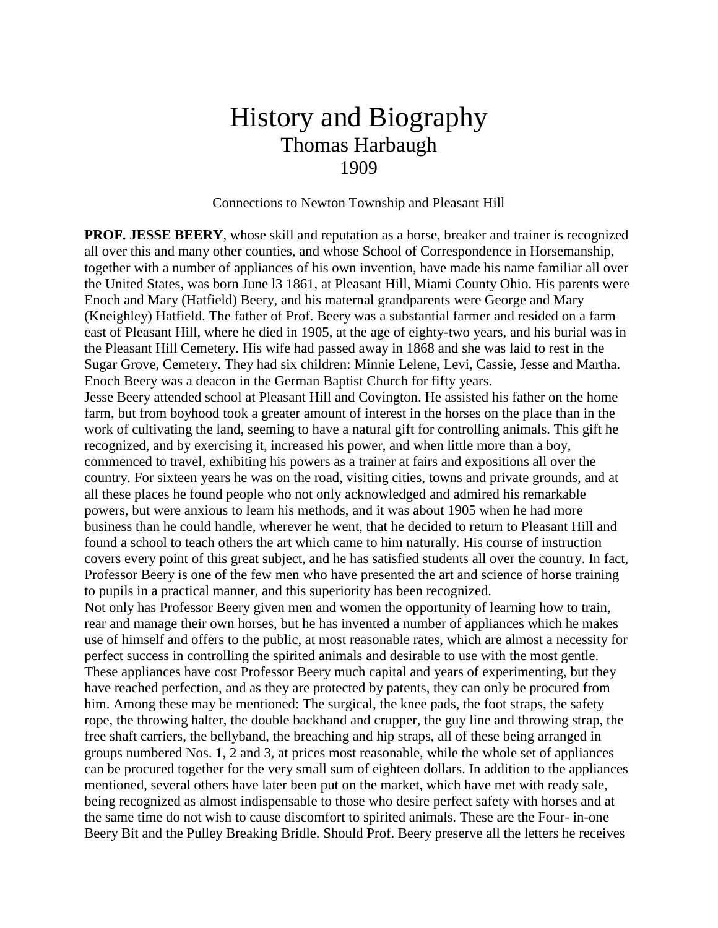## History and Biography Thomas Harbaugh 1909

Connections to Newton Township and Pleasant Hill

**PROF. JESSE BEERY**, whose skill and reputation as a horse, breaker and trainer is recognized all over this and many other counties, and whose School of Correspondence in Horsemanship, together with a number of appliances of his own invention, have made his name familiar all over the United States, was born June l3 1861, at Pleasant Hill, Miami County Ohio. His parents were Enoch and Mary (Hatfield) Beery, and his maternal grandparents were George and Mary (Kneighley) Hatfield. The father of Prof. Beery was a substantial farmer and resided on a farm east of Pleasant Hill, where he died in 1905, at the age of eighty-two years, and his burial was in the Pleasant Hill Cemetery. His wife had passed away in 1868 and she was laid to rest in the Sugar Grove, Cemetery. They had six children: Minnie Lelene, Levi, Cassie, Jesse and Martha. Enoch Beery was a deacon in the German Baptist Church for fifty years.

Jesse Beery attended school at Pleasant Hill and Covington. He assisted his father on the home farm, but from boyhood took a greater amount of interest in the horses on the place than in the work of cultivating the land, seeming to have a natural gift for controlling animals. This gift he recognized, and by exercising it, increased his power, and when little more than a boy, commenced to travel, exhibiting his powers as a trainer at fairs and expositions all over the country. For sixteen years he was on the road, visiting cities, towns and private grounds, and at all these places he found people who not only acknowledged and admired his remarkable powers, but were anxious to learn his methods, and it was about 1905 when he had more business than he could handle, wherever he went, that he decided to return to Pleasant Hill and found a school to teach others the art which came to him naturally. His course of instruction covers every point of this great subject, and he has satisfied students all over the country. In fact, Professor Beery is one of the few men who have presented the art and science of horse training to pupils in a practical manner, and this superiority has been recognized.

Not only has Professor Beery given men and women the opportunity of learning how to train, rear and manage their own horses, but he has invented a number of appliances which he makes use of himself and offers to the public, at most reasonable rates, which are almost a necessity for perfect success in controlling the spirited animals and desirable to use with the most gentle. These appliances have cost Professor Beery much capital and years of experimenting, but they have reached perfection, and as they are protected by patents, they can only be procured from him. Among these may be mentioned: The surgical, the knee pads, the foot straps, the safety rope, the throwing halter, the double backhand and crupper, the guy line and throwing strap, the free shaft carriers, the bellyband, the breaching and hip straps, all of these being arranged in groups numbered Nos. 1, 2 and 3, at prices most reasonable, while the whole set of appliances can be procured together for the very small sum of eighteen dollars. In addition to the appliances mentioned, several others have later been put on the market, which have met with ready sale, being recognized as almost indispensable to those who desire perfect safety with horses and at the same time do not wish to cause discomfort to spirited animals. These are the Four- in-one Beery Bit and the Pulley Breaking Bridle. Should Prof. Beery preserve all the letters he receives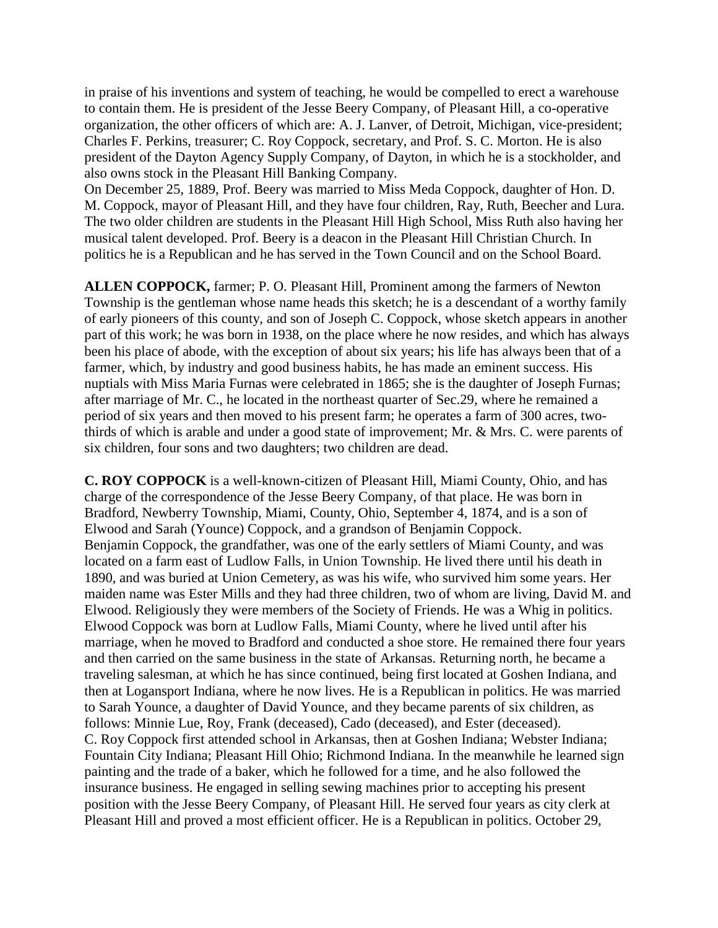in praise of his inventions and system of teaching, he would be compelled to erect a warehouse to contain them. He is president of the Jesse Beery Company, of Pleasant Hill, a co-operative organization, the other officers of which are: A. J. Lanver, of Detroit, Michigan, vice-president; Charles F. Perkins, treasurer; C. Roy Coppock, secretary, and Prof. S. C. Morton. He is also president of the Dayton Agency Supply Company, of Dayton, in which he is a stockholder, and also owns stock in the Pleasant Hill Banking Company.

On December 25, 1889, Prof. Beery was married to Miss Meda Coppock, daughter of Hon. D. M. Coppock, mayor of Pleasant Hill, and they have four children, Ray, Ruth, Beecher and Lura. The two older children are students in the Pleasant Hill High School, Miss Ruth also having her musical talent developed. Prof. Beery is a deacon in the Pleasant Hill Christian Church. In politics he is a Republican and he has served in the Town Council and on the School Board.

**ALLEN COPPOCK,** farmer; P. O. Pleasant Hill, Prominent among the farmers of Newton Township is the gentleman whose name heads this sketch; he is a descendant of a worthy family of early pioneers of this county, and son of Joseph C. Coppock, whose sketch appears in another part of this work; he was born in 1938, on the place where he now resides, and which has always been his place of abode, with the exception of about six years; his life has always been that of a farmer, which, by industry and good business habits, he has made an eminent success. His nuptials with Miss Maria Furnas were celebrated in 1865; she is the daughter of Joseph Furnas; after marriage of Mr. C., he located in the northeast quarter of Sec.29, where he remained a period of six years and then moved to his present farm; he operates a farm of 300 acres, twothirds of which is arable and under a good state of improvement; Mr. & Mrs. C. were parents of six children, four sons and two daughters; two children are dead.

**C. ROY COPPOCK** is a well-known-citizen of Pleasant Hill, Miami County, Ohio, and has charge of the correspondence of the Jesse Beery Company, of that place. He was born in Bradford, Newberry Township, Miami, County, Ohio, September 4, 1874, and is a son of Elwood and Sarah (Younce) Coppock, and a grandson of Benjamin Coppock. Benjamin Coppock, the grandfather, was one of the early settlers of Miami County, and was located on a farm east of Ludlow Falls, in Union Township. He lived there until his death in 1890, and was buried at Union Cemetery, as was his wife, who survived him some years. Her maiden name was Ester Mills and they had three children, two of whom are living, David M. and Elwood. Religiously they were members of the Society of Friends. He was a Whig in politics. Elwood Coppock was born at Ludlow Falls, Miami County, where he lived until after his marriage, when he moved to Bradford and conducted a shoe store. He remained there four years and then carried on the same business in the state of Arkansas. Returning north, he became a traveling salesman, at which he has since continued, being first located at Goshen Indiana, and then at Logansport Indiana, where he now lives. He is a Republican in politics. He was married to Sarah Younce, a daughter of David Younce, and they became parents of six children, as follows: Minnie Lue, Roy, Frank (deceased), Cado (deceased), and Ester (deceased). C. Roy Coppock first attended school in Arkansas, then at Goshen Indiana; Webster Indiana; Fountain City Indiana; Pleasant Hill Ohio; Richmond Indiana. In the meanwhile he learned sign painting and the trade of a baker, which he followed for a time, and he also followed the insurance business. He engaged in selling sewing machines prior to accepting his present position with the Jesse Beery Company, of Pleasant Hill. He served four years as city clerk at Pleasant Hill and proved a most efficient officer. He is a Republican in politics. October 29,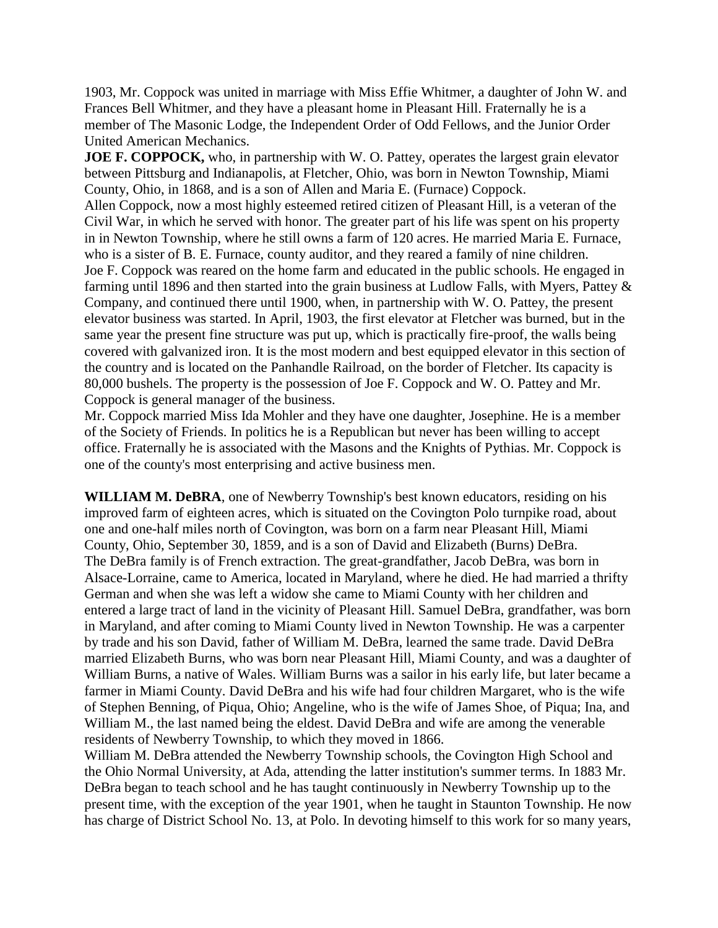1903, Mr. Coppock was united in marriage with Miss Effie Whitmer, a daughter of John W. and Frances Bell Whitmer, and they have a pleasant home in Pleasant Hill. Fraternally he is a member of The Masonic Lodge, the Independent Order of Odd Fellows, and the Junior Order United American Mechanics.

**JOE F. COPPOCK,** who, in partnership with W. O. Pattey, operates the largest grain elevator between Pittsburg and Indianapolis, at Fletcher, Ohio, was born in Newton Township, Miami County, Ohio, in 1868, and is a son of Allen and Maria E. (Furnace) Coppock. Allen Coppock, now a most highly esteemed retired citizen of Pleasant Hill, is a veteran of the Civil War, in which he served with honor. The greater part of his life was spent on his property in in Newton Township, where he still owns a farm of 120 acres. He married Maria E. Furnace, who is a sister of B. E. Furnace, county auditor, and they reared a family of nine children. Joe F. Coppock was reared on the home farm and educated in the public schools. He engaged in farming until 1896 and then started into the grain business at Ludlow Falls, with Myers, Pattey & Company, and continued there until 1900, when, in partnership with W. O. Pattey, the present elevator business was started. In April, 1903, the first elevator at Fletcher was burned, but in the same year the present fine structure was put up, which is practically fire-proof, the walls being covered with galvanized iron. It is the most modern and best equipped elevator in this section of the country and is located on the Panhandle Railroad, on the border of Fletcher. Its capacity is 80,000 bushels. The property is the possession of Joe F. Coppock and W. O. Pattey and Mr. Coppock is general manager of the business.

Mr. Coppock married Miss Ida Mohler and they have one daughter, Josephine. He is a member of the Society of Friends. In politics he is a Republican but never has been willing to accept office. Fraternally he is associated with the Masons and the Knights of Pythias. Mr. Coppock is one of the county's most enterprising and active business men.

**WILLIAM M. DeBRA**, one of Newberry Township's best known educators, residing on his improved farm of eighteen acres, which is situated on the Covington Polo turnpike road, about one and one-half miles north of Covington, was born on a farm near Pleasant Hill, Miami County, Ohio, September 30, 1859, and is a son of David and Elizabeth (Burns) DeBra. The DeBra family is of French extraction. The great-grandfather, Jacob DeBra, was born in Alsace-Lorraine, came to America, located in Maryland, where he died. He had married a thrifty German and when she was left a widow she came to Miami County with her children and entered a large tract of land in the vicinity of Pleasant Hill. Samuel DeBra, grandfather, was born in Maryland, and after coming to Miami County lived in Newton Township. He was a carpenter by trade and his son David, father of William M. DeBra, learned the same trade. David DeBra married Elizabeth Burns, who was born near Pleasant Hill, Miami County, and was a daughter of William Burns, a native of Wales. William Burns was a sailor in his early life, but later became a farmer in Miami County. David DeBra and his wife had four children Margaret, who is the wife of Stephen Benning, of Piqua, Ohio; Angeline, who is the wife of James Shoe, of Piqua; Ina, and William M., the last named being the eldest. David DeBra and wife are among the venerable residents of Newberry Township, to which they moved in 1866.

William M. DeBra attended the Newberry Township schools, the Covington High School and the Ohio Normal University, at Ada, attending the latter institution's summer terms. In 1883 Mr. DeBra began to teach school and he has taught continuously in Newberry Township up to the present time, with the exception of the year 1901, when he taught in Staunton Township. He now has charge of District School No. 13, at Polo. In devoting himself to this work for so many years,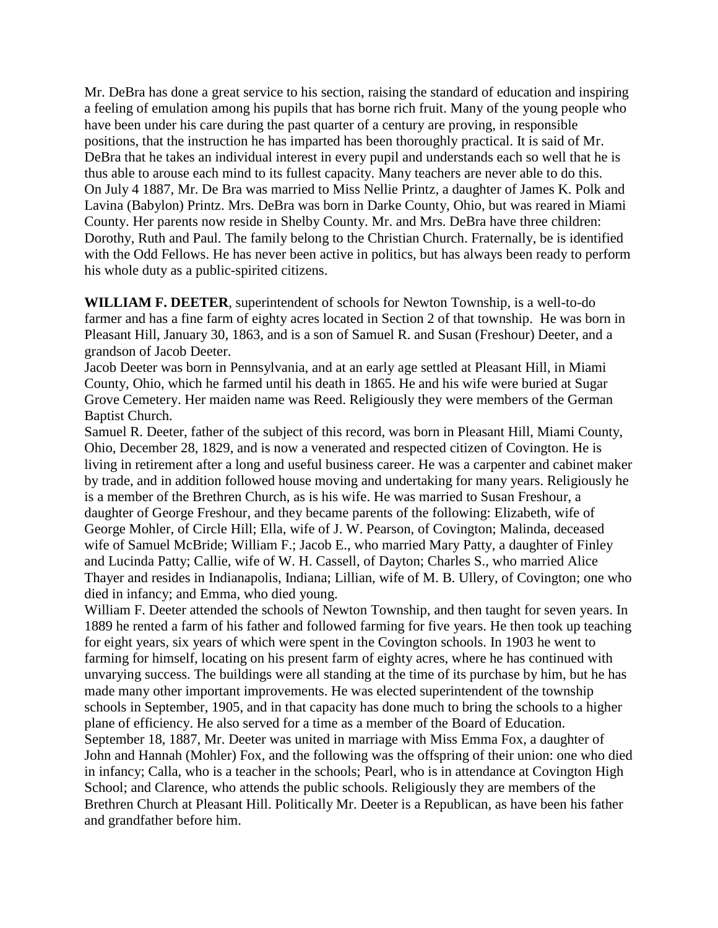Mr. DeBra has done a great service to his section, raising the standard of education and inspiring a feeling of emulation among his pupils that has borne rich fruit. Many of the young people who have been under his care during the past quarter of a century are proving, in responsible positions, that the instruction he has imparted has been thoroughly practical. It is said of Mr. DeBra that he takes an individual interest in every pupil and understands each so well that he is thus able to arouse each mind to its fullest capacity. Many teachers are never able to do this. On July 4 1887, Mr. De Bra was married to Miss Nellie Printz, a daughter of James K. Polk and Lavina (Babylon) Printz. Mrs. DeBra was born in Darke County, Ohio, but was reared in Miami County. Her parents now reside in Shelby County. Mr. and Mrs. DeBra have three children: Dorothy, Ruth and Paul. The family belong to the Christian Church. Fraternally, be is identified with the Odd Fellows. He has never been active in politics, but has always been ready to perform his whole duty as a public-spirited citizens.

**WILLIAM F. DEETER**, superintendent of schools for Newton Township, is a well-to-do farmer and has a fine farm of eighty acres located in Section 2 of that township. He was born in Pleasant Hill, January 30, 1863, and is a son of Samuel R. and Susan (Freshour) Deeter, and a grandson of Jacob Deeter.

Jacob Deeter was born in Pennsylvania, and at an early age settled at Pleasant Hill, in Miami County, Ohio, which he farmed until his death in 1865. He and his wife were buried at Sugar Grove Cemetery. Her maiden name was Reed. Religiously they were members of the German Baptist Church.

Samuel R. Deeter, father of the subject of this record, was born in Pleasant Hill, Miami County, Ohio, December 28, 1829, and is now a venerated and respected citizen of Covington. He is living in retirement after a long and useful business career. He was a carpenter and cabinet maker by trade, and in addition followed house moving and undertaking for many years. Religiously he is a member of the Brethren Church, as is his wife. He was married to Susan Freshour, a daughter of George Freshour, and they became parents of the following: Elizabeth, wife of George Mohler, of Circle Hill; Ella, wife of J. W. Pearson, of Covington; Malinda, deceased wife of Samuel McBride; William F.; Jacob E., who married Mary Patty, a daughter of Finley and Lucinda Patty; Callie, wife of W. H. Cassell, of Dayton; Charles S., who married Alice Thayer and resides in Indianapolis, Indiana; Lillian, wife of M. B. Ullery, of Covington; one who died in infancy; and Emma, who died young.

William F. Deeter attended the schools of Newton Township, and then taught for seven years. In 1889 he rented a farm of his father and followed farming for five years. He then took up teaching for eight years, six years of which were spent in the Covington schools. In 1903 he went to farming for himself, locating on his present farm of eighty acres, where he has continued with unvarying success. The buildings were all standing at the time of its purchase by him, but he has made many other important improvements. He was elected superintendent of the township schools in September, 1905, and in that capacity has done much to bring the schools to a higher plane of efficiency. He also served for a time as a member of the Board of Education. September 18, 1887, Mr. Deeter was united in marriage with Miss Emma Fox, a daughter of John and Hannah (Mohler) Fox, and the following was the offspring of their union: one who died in infancy; Calla, who is a teacher in the schools; Pearl, who is in attendance at Covington High School; and Clarence, who attends the public schools. Religiously they are members of the Brethren Church at Pleasant Hill. Politically Mr. Deeter is a Republican, as have been his father and grandfather before him.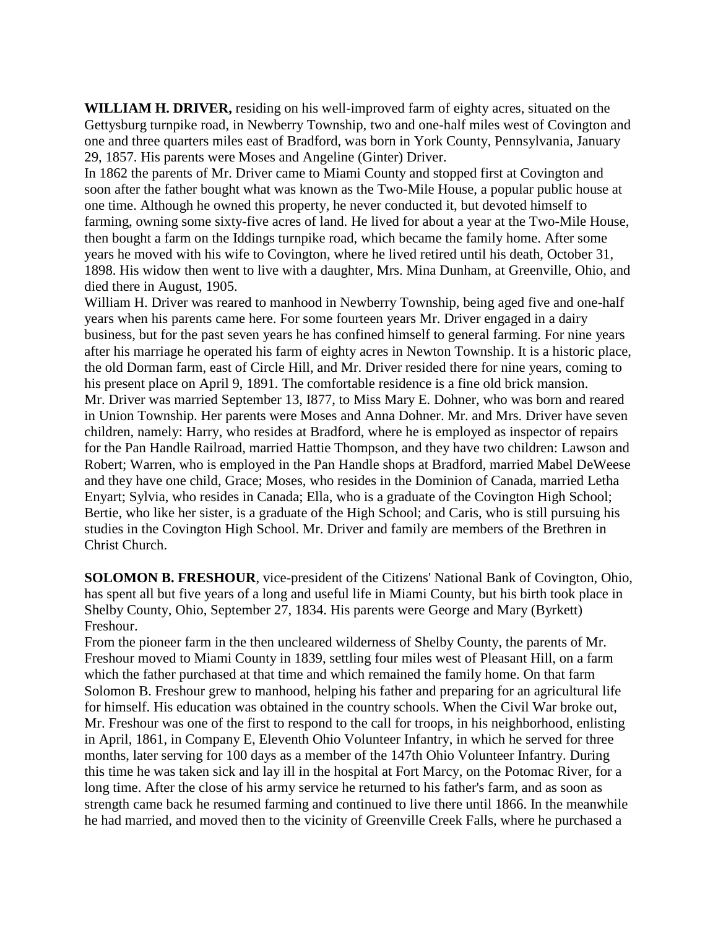**WILLIAM H. DRIVER,** residing on his well-improved farm of eighty acres, situated on the Gettysburg turnpike road, in Newberry Township, two and one-half miles west of Covington and one and three quarters miles east of Bradford, was born in York County, Pennsylvania, January 29, 1857. His parents were Moses and Angeline (Ginter) Driver.

In 1862 the parents of Mr. Driver came to Miami County and stopped first at Covington and soon after the father bought what was known as the Two-Mile House, a popular public house at one time. Although he owned this property, he never conducted it, but devoted himself to farming, owning some sixty-five acres of land. He lived for about a year at the Two-Mile House, then bought a farm on the Iddings turnpike road, which became the family home. After some years he moved with his wife to Covington, where he lived retired until his death, October 31, 1898. His widow then went to live with a daughter, Mrs. Mina Dunham, at Greenville, Ohio, and died there in August, 1905.

William H. Driver was reared to manhood in Newberry Township, being aged five and one-half years when his parents came here. For some fourteen years Mr. Driver engaged in a dairy business, but for the past seven years he has confined himself to general farming. For nine years after his marriage he operated his farm of eighty acres in Newton Township. It is a historic place, the old Dorman farm, east of Circle Hill, and Mr. Driver resided there for nine years, coming to his present place on April 9, 1891. The comfortable residence is a fine old brick mansion. Mr. Driver was married September 13, I877, to Miss Mary E. Dohner, who was born and reared in Union Township. Her parents were Moses and Anna Dohner. Mr. and Mrs. Driver have seven children, namely: Harry, who resides at Bradford, where he is employed as inspector of repairs for the Pan Handle Railroad, married Hattie Thompson, and they have two children: Lawson and Robert; Warren, who is employed in the Pan Handle shops at Bradford, married Mabel DeWeese and they have one child, Grace; Moses, who resides in the Dominion of Canada, married Letha Enyart; Sylvia, who resides in Canada; Ella, who is a graduate of the Covington High School; Bertie, who like her sister, is a graduate of the High School; and Caris, who is still pursuing his studies in the Covington High School. Mr. Driver and family are members of the Brethren in Christ Church.

**SOLOMON B. FRESHOUR**, vice-president of the Citizens' National Bank of Covington, Ohio, has spent all but five years of a long and useful life in Miami County, but his birth took place in Shelby County, Ohio, September 27, 1834. His parents were George and Mary (Byrkett) Freshour.

From the pioneer farm in the then uncleared wilderness of Shelby County, the parents of Mr. Freshour moved to Miami County in 1839, settling four miles west of Pleasant Hill, on a farm which the father purchased at that time and which remained the family home. On that farm Solomon B. Freshour grew to manhood, helping his father and preparing for an agricultural life for himself. His education was obtained in the country schools. When the Civil War broke out, Mr. Freshour was one of the first to respond to the call for troops, in his neighborhood, enlisting in April, 1861, in Company E, Eleventh Ohio Volunteer Infantry, in which he served for three months, later serving for 100 days as a member of the 147th Ohio Volunteer Infantry. During this time he was taken sick and lay ill in the hospital at Fort Marcy, on the Potomac River, for a long time. After the close of his army service he returned to his father's farm, and as soon as strength came back he resumed farming and continued to live there until 1866. In the meanwhile he had married, and moved then to the vicinity of Greenville Creek Falls, where he purchased a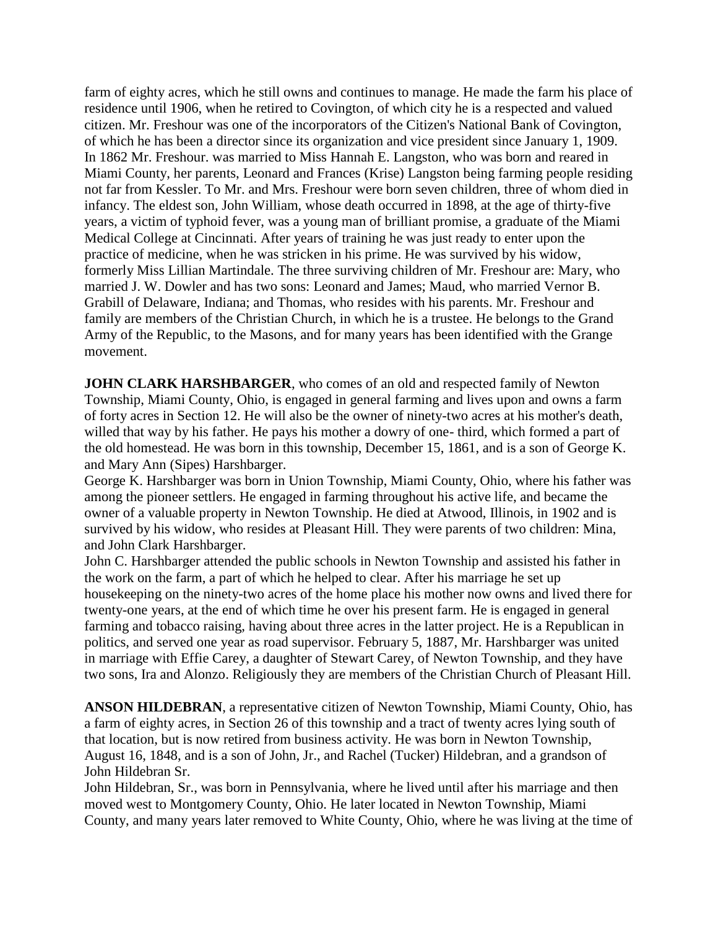farm of eighty acres, which he still owns and continues to manage. He made the farm his place of residence until 1906, when he retired to Covington, of which city he is a respected and valued citizen. Mr. Freshour was one of the incorporators of the Citizen's National Bank of Covington, of which he has been a director since its organization and vice president since January 1, 1909. In 1862 Mr. Freshour. was married to Miss Hannah E. Langston, who was born and reared in Miami County, her parents, Leonard and Frances (Krise) Langston being farming people residing not far from Kessler. To Mr. and Mrs. Freshour were born seven children, three of whom died in infancy. The eldest son, John William, whose death occurred in 1898, at the age of thirty-five years, a victim of typhoid fever, was a young man of brilliant promise, a graduate of the Miami Medical College at Cincinnati. After years of training he was just ready to enter upon the practice of medicine, when he was stricken in his prime. He was survived by his widow, formerly Miss Lillian Martindale. The three surviving children of Mr. Freshour are: Mary, who married J. W. Dowler and has two sons: Leonard and James; Maud, who married Vernor B. Grabill of Delaware, Indiana; and Thomas, who resides with his parents. Mr. Freshour and family are members of the Christian Church, in which he is a trustee. He belongs to the Grand Army of the Republic, to the Masons, and for many years has been identified with the Grange movement.

**JOHN CLARK HARSHBARGER**, who comes of an old and respected family of Newton Township, Miami County, Ohio, is engaged in general farming and lives upon and owns a farm of forty acres in Section 12. He will also be the owner of ninety-two acres at his mother's death, willed that way by his father. He pays his mother a dowry of one- third, which formed a part of the old homestead. He was born in this township, December 15, 1861, and is a son of George K. and Mary Ann (Sipes) Harshbarger.

George K. Harshbarger was born in Union Township, Miami County, Ohio, where his father was among the pioneer settlers. He engaged in farming throughout his active life, and became the owner of a valuable property in Newton Township. He died at Atwood, Illinois, in 1902 and is survived by his widow, who resides at Pleasant Hill. They were parents of two children: Mina, and John Clark Harshbarger.

John C. Harshbarger attended the public schools in Newton Township and assisted his father in the work on the farm, a part of which he helped to clear. After his marriage he set up housekeeping on the ninety-two acres of the home place his mother now owns and lived there for twenty-one years, at the end of which time he over his present farm. He is engaged in general farming and tobacco raising, having about three acres in the latter project. He is a Republican in politics, and served one year as road supervisor. February 5, 1887, Mr. Harshbarger was united in marriage with Effie Carey, a daughter of Stewart Carey, of Newton Township, and they have two sons, Ira and Alonzo. Religiously they are members of the Christian Church of Pleasant Hill.

**ANSON HILDEBRAN**, a representative citizen of Newton Township, Miami County, Ohio, has a farm of eighty acres, in Section 26 of this township and a tract of twenty acres lying south of that location, but is now retired from business activity. He was born in Newton Township, August 16, 1848, and is a son of John, Jr., and Rachel (Tucker) Hildebran, and a grandson of John Hildebran Sr.

John Hildebran, Sr., was born in Pennsylvania, where he lived until after his marriage and then moved west to Montgomery County, Ohio. He later located in Newton Township, Miami County, and many years later removed to White County, Ohio, where he was living at the time of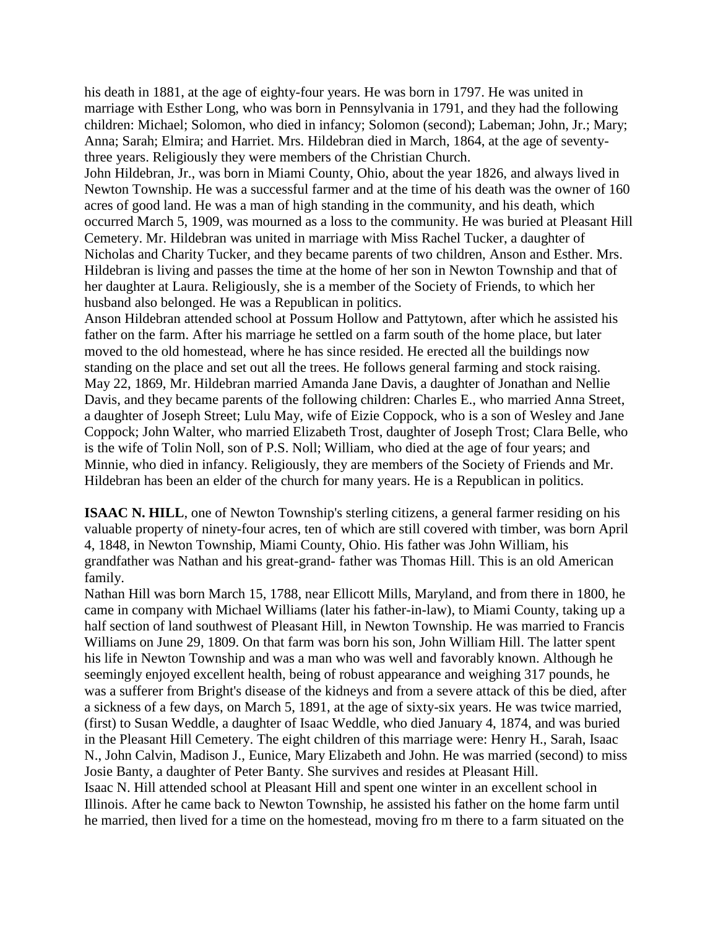his death in 1881, at the age of eighty-four years. He was born in 1797. He was united in marriage with Esther Long, who was born in Pennsylvania in 1791, and they had the following children: Michael; Solomon, who died in infancy; Solomon (second); Labeman; John, Jr.; Mary; Anna; Sarah; Elmira; and Harriet. Mrs. Hildebran died in March, 1864, at the age of seventythree years. Religiously they were members of the Christian Church.

John Hildebran, Jr., was born in Miami County, Ohio, about the year 1826, and always lived in Newton Township. He was a successful farmer and at the time of his death was the owner of 160 acres of good land. He was a man of high standing in the community, and his death, which occurred March 5, 1909, was mourned as a loss to the community. He was buried at Pleasant Hill Cemetery. Mr. Hildebran was united in marriage with Miss Rachel Tucker, a daughter of Nicholas and Charity Tucker, and they became parents of two children, Anson and Esther. Mrs. Hildebran is living and passes the time at the home of her son in Newton Township and that of her daughter at Laura. Religiously, she is a member of the Society of Friends, to which her husband also belonged. He was a Republican in politics.

Anson Hildebran attended school at Possum Hollow and Pattytown, after which he assisted his father on the farm. After his marriage he settled on a farm south of the home place, but later moved to the old homestead, where he has since resided. He erected all the buildings now standing on the place and set out all the trees. He follows general farming and stock raising. May 22, 1869, Mr. Hildebran married Amanda Jane Davis, a daughter of Jonathan and Nellie Davis, and they became parents of the following children: Charles E., who married Anna Street, a daughter of Joseph Street; Lulu May, wife of Eizie Coppock, who is a son of Wesley and Jane Coppock; John Walter, who married Elizabeth Trost, daughter of Joseph Trost; Clara Belle, who is the wife of Tolin Noll, son of P.S. Noll; William, who died at the age of four years; and Minnie, who died in infancy. Religiously, they are members of the Society of Friends and Mr. Hildebran has been an elder of the church for many years. He is a Republican in politics.

**ISAAC N. HILL**, one of Newton Township's sterling citizens, a general farmer residing on his valuable property of ninety-four acres, ten of which are still covered with timber, was born April 4, 1848, in Newton Township, Miami County, Ohio. His father was John William, his grandfather was Nathan and his great-grand- father was Thomas Hill. This is an old American family.

Nathan Hill was born March 15, 1788, near Ellicott Mills, Maryland, and from there in 1800, he came in company with Michael Williams (later his father-in-law), to Miami County, taking up a half section of land southwest of Pleasant Hill, in Newton Township. He was married to Francis Williams on June 29, 1809. On that farm was born his son, John William Hill. The latter spent his life in Newton Township and was a man who was well and favorably known. Although he seemingly enjoyed excellent health, being of robust appearance and weighing 317 pounds, he was a sufferer from Bright's disease of the kidneys and from a severe attack of this be died, after a sickness of a few days, on March 5, 1891, at the age of sixty-six years. He was twice married, (first) to Susan Weddle, a daughter of Isaac Weddle, who died January 4, 1874, and was buried in the Pleasant Hill Cemetery. The eight children of this marriage were: Henry H., Sarah, Isaac N., John Calvin, Madison J., Eunice, Mary Elizabeth and John. He was married (second) to miss Josie Banty, a daughter of Peter Banty. She survives and resides at Pleasant Hill. Isaac N. Hill attended school at Pleasant Hill and spent one winter in an excellent school in Illinois. After he came back to Newton Township, he assisted his father on the home farm until he married, then lived for a time on the homestead, moving fro m there to a farm situated on the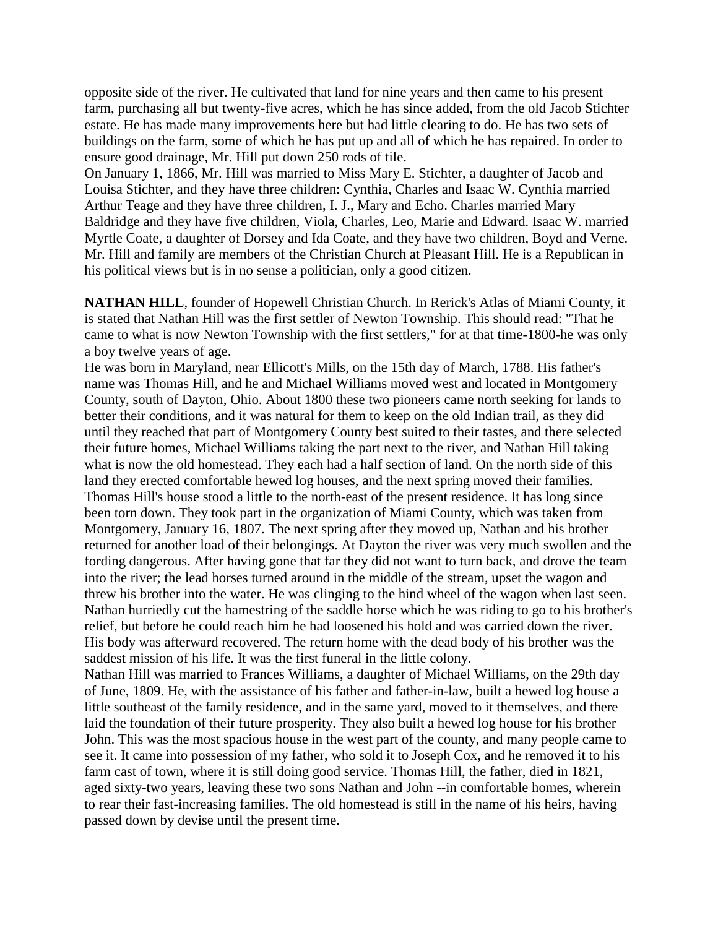opposite side of the river. He cultivated that land for nine years and then came to his present farm, purchasing all but twenty-five acres, which he has since added, from the old Jacob Stichter estate. He has made many improvements here but had little clearing to do. He has two sets of buildings on the farm, some of which he has put up and all of which he has repaired. In order to ensure good drainage, Mr. Hill put down 250 rods of tile.

On January 1, 1866, Mr. Hill was married to Miss Mary E. Stichter, a daughter of Jacob and Louisa Stichter, and they have three children: Cynthia, Charles and Isaac W. Cynthia married Arthur Teage and they have three children, I. J., Mary and Echo. Charles married Mary Baldridge and they have five children, Viola, Charles, Leo, Marie and Edward. Isaac W. married Myrtle Coate, a daughter of Dorsey and Ida Coate, and they have two children, Boyd and Verne. Mr. Hill and family are members of the Christian Church at Pleasant Hill. He is a Republican in his political views but is in no sense a politician, only a good citizen.

**NATHAN HILL**, founder of Hopewell Christian Church. In Rerick's Atlas of Miami County, it is stated that Nathan Hill was the first settler of Newton Township. This should read: "That he came to what is now Newton Township with the first settlers," for at that time-1800-he was only a boy twelve years of age.

He was born in Maryland, near Ellicott's Mills, on the 15th day of March, 1788. His father's name was Thomas Hill, and he and Michael Williams moved west and located in Montgomery County, south of Dayton, Ohio. About 1800 these two pioneers came north seeking for lands to better their conditions, and it was natural for them to keep on the old Indian trail, as they did until they reached that part of Montgomery County best suited to their tastes, and there selected their future homes, Michael Williams taking the part next to the river, and Nathan Hill taking what is now the old homestead. They each had a half section of land. On the north side of this land they erected comfortable hewed log houses, and the next spring moved their families. Thomas Hill's house stood a little to the north-east of the present residence. It has long since been torn down. They took part in the organization of Miami County, which was taken from Montgomery, January 16, 1807. The next spring after they moved up, Nathan and his brother returned for another load of their belongings. At Dayton the river was very much swollen and the fording dangerous. After having gone that far they did not want to turn back, and drove the team into the river; the lead horses turned around in the middle of the stream, upset the wagon and threw his brother into the water. He was clinging to the hind wheel of the wagon when last seen. Nathan hurriedly cut the hamestring of the saddle horse which he was riding to go to his brother's relief, but before he could reach him he had loosened his hold and was carried down the river. His body was afterward recovered. The return home with the dead body of his brother was the saddest mission of his life. It was the first funeral in the little colony.

Nathan Hill was married to Frances Williams, a daughter of Michael Williams, on the 29th day of June, 1809. He, with the assistance of his father and father-in-law, built a hewed log house a little southeast of the family residence, and in the same yard, moved to it themselves, and there laid the foundation of their future prosperity. They also built a hewed log house for his brother John. This was the most spacious house in the west part of the county, and many people came to see it. It came into possession of my father, who sold it to Joseph Cox, and he removed it to his farm cast of town, where it is still doing good service. Thomas Hill, the father, died in 1821, aged sixty-two years, leaving these two sons Nathan and John --in comfortable homes, wherein to rear their fast-increasing families. The old homestead is still in the name of his heirs, having passed down by devise until the present time.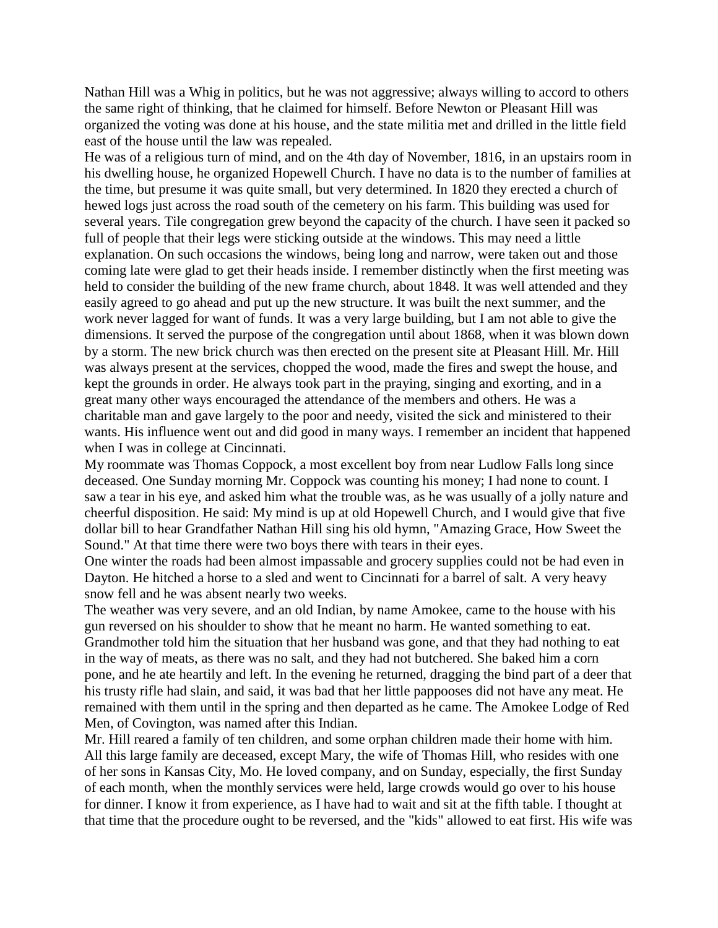Nathan Hill was a Whig in politics, but he was not aggressive; always willing to accord to others the same right of thinking, that he claimed for himself. Before Newton or Pleasant Hill was organized the voting was done at his house, and the state militia met and drilled in the little field east of the house until the law was repealed.

He was of a religious turn of mind, and on the 4th day of November, 1816, in an upstairs room in his dwelling house, he organized Hopewell Church. I have no data is to the number of families at the time, but presume it was quite small, but very determined. In 1820 they erected a church of hewed logs just across the road south of the cemetery on his farm. This building was used for several years. Tile congregation grew beyond the capacity of the church. I have seen it packed so full of people that their legs were sticking outside at the windows. This may need a little explanation. On such occasions the windows, being long and narrow, were taken out and those coming late were glad to get their heads inside. I remember distinctly when the first meeting was held to consider the building of the new frame church, about 1848. It was well attended and they easily agreed to go ahead and put up the new structure. It was built the next summer, and the work never lagged for want of funds. It was a very large building, but I am not able to give the dimensions. It served the purpose of the congregation until about 1868, when it was blown down by a storm. The new brick church was then erected on the present site at Pleasant Hill. Mr. Hill was always present at the services, chopped the wood, made the fires and swept the house, and kept the grounds in order. He always took part in the praying, singing and exorting, and in a great many other ways encouraged the attendance of the members and others. He was a charitable man and gave largely to the poor and needy, visited the sick and ministered to their wants. His influence went out and did good in many ways. I remember an incident that happened when I was in college at Cincinnati.

My roommate was Thomas Coppock, a most excellent boy from near Ludlow Falls long since deceased. One Sunday morning Mr. Coppock was counting his money; I had none to count. I saw a tear in his eye, and asked him what the trouble was, as he was usually of a jolly nature and cheerful disposition. He said: My mind is up at old Hopewell Church, and I would give that five dollar bill to hear Grandfather Nathan Hill sing his old hymn, "Amazing Grace, How Sweet the Sound." At that time there were two boys there with tears in their eyes.

One winter the roads had been almost impassable and grocery supplies could not be had even in Dayton. He hitched a horse to a sled and went to Cincinnati for a barrel of salt. A very heavy snow fell and he was absent nearly two weeks.

The weather was very severe, and an old Indian, by name Amokee, came to the house with his gun reversed on his shoulder to show that he meant no harm. He wanted something to eat. Grandmother told him the situation that her husband was gone, and that they had nothing to eat in the way of meats, as there was no salt, and they had not butchered. She baked him a corn pone, and he ate heartily and left. In the evening he returned, dragging the bind part of a deer that his trusty rifle had slain, and said, it was bad that her little pappooses did not have any meat. He remained with them until in the spring and then departed as he came. The Amokee Lodge of Red Men, of Covington, was named after this Indian.

Mr. Hill reared a family of ten children, and some orphan children made their home with him. All this large family are deceased, except Mary, the wife of Thomas Hill, who resides with one of her sons in Kansas City, Mo. He loved company, and on Sunday, especially, the first Sunday of each month, when the monthly services were held, large crowds would go over to his house for dinner. I know it from experience, as I have had to wait and sit at the fifth table. I thought at that time that the procedure ought to be reversed, and the "kids" allowed to eat first. His wife was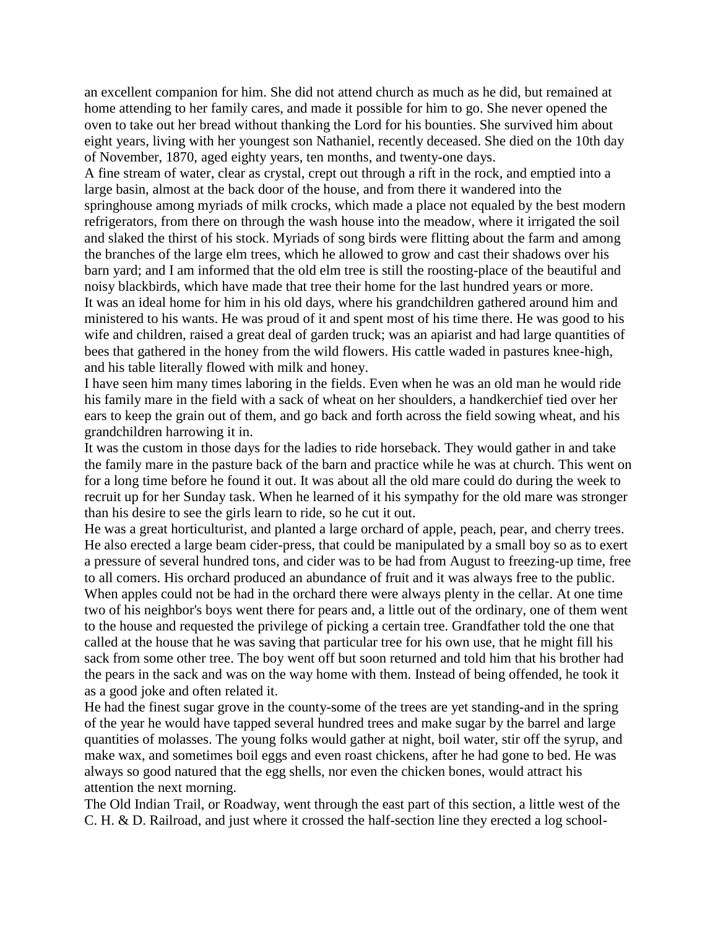an excellent companion for him. She did not attend church as much as he did, but remained at home attending to her family cares, and made it possible for him to go. She never opened the oven to take out her bread without thanking the Lord for his bounties. She survived him about eight years, living with her youngest son Nathaniel, recently deceased. She died on the 10th day of November, 1870, aged eighty years, ten months, and twenty-one days.

A fine stream of water, clear as crystal, crept out through a rift in the rock, and emptied into a large basin, almost at the back door of the house, and from there it wandered into the springhouse among myriads of milk crocks, which made a place not equaled by the best modern refrigerators, from there on through the wash house into the meadow, where it irrigated the soil and slaked the thirst of his stock. Myriads of song birds were flitting about the farm and among the branches of the large elm trees, which he allowed to grow and cast their shadows over his barn yard; and I am informed that the old elm tree is still the roosting-place of the beautiful and noisy blackbirds, which have made that tree their home for the last hundred years or more. It was an ideal home for him in his old days, where his grandchildren gathered around him and ministered to his wants. He was proud of it and spent most of his time there. He was good to his wife and children, raised a great deal of garden truck; was an apiarist and had large quantities of bees that gathered in the honey from the wild flowers. His cattle waded in pastures knee-high, and his table literally flowed with milk and honey.

I have seen him many times laboring in the fields. Even when he was an old man he would ride his family mare in the field with a sack of wheat on her shoulders, a handkerchief tied over her ears to keep the grain out of them, and go back and forth across the field sowing wheat, and his grandchildren harrowing it in.

It was the custom in those days for the ladies to ride horseback. They would gather in and take the family mare in the pasture back of the barn and practice while he was at church. This went on for a long time before he found it out. It was about all the old mare could do during the week to recruit up for her Sunday task. When he learned of it his sympathy for the old mare was stronger than his desire to see the girls learn to ride, so he cut it out.

He was a great horticulturist, and planted a large orchard of apple, peach, pear, and cherry trees. He also erected a large beam cider-press, that could be manipulated by a small boy so as to exert a pressure of several hundred tons, and cider was to be had from August to freezing-up time, free to all comers. His orchard produced an abundance of fruit and it was always free to the public. When apples could not be had in the orchard there were always plenty in the cellar. At one time two of his neighbor's boys went there for pears and, a little out of the ordinary, one of them went to the house and requested the privilege of picking a certain tree. Grandfather told the one that called at the house that he was saving that particular tree for his own use, that he might fill his sack from some other tree. The boy went off but soon returned and told him that his brother had the pears in the sack and was on the way home with them. Instead of being offended, he took it as a good joke and often related it.

He had the finest sugar grove in the county-some of the trees are yet standing-and in the spring of the year he would have tapped several hundred trees and make sugar by the barrel and large quantities of molasses. The young folks would gather at night, boil water, stir off the syrup, and make wax, and sometimes boil eggs and even roast chickens, after he had gone to bed. He was always so good natured that the egg shells, nor even the chicken bones, would attract his attention the next morning.

The Old Indian Trail, or Roadway, went through the east part of this section, a little west of the C. H. & D. Railroad, and just where it crossed the half-section line they erected a log school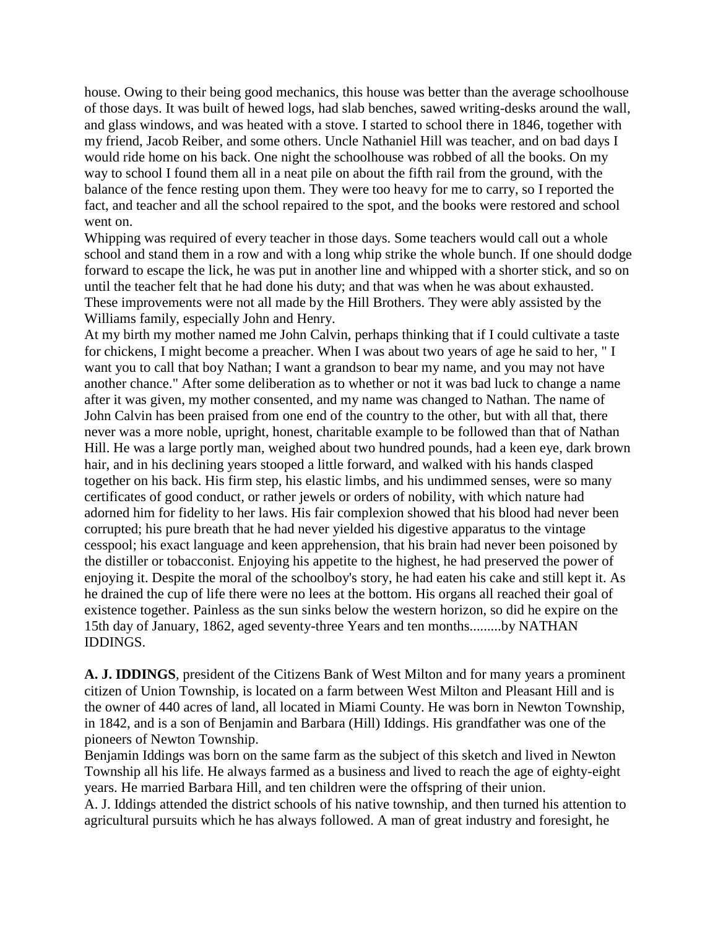house. Owing to their being good mechanics, this house was better than the average schoolhouse of those days. It was built of hewed logs, had slab benches, sawed writing-desks around the wall, and glass windows, and was heated with a stove. I started to school there in 1846, together with my friend, Jacob Reiber, and some others. Uncle Nathaniel Hill was teacher, and on bad days I would ride home on his back. One night the schoolhouse was robbed of all the books. On my way to school I found them all in a neat pile on about the fifth rail from the ground, with the balance of the fence resting upon them. They were too heavy for me to carry, so I reported the fact, and teacher and all the school repaired to the spot, and the books were restored and school went on.

Whipping was required of every teacher in those days. Some teachers would call out a whole school and stand them in a row and with a long whip strike the whole bunch. If one should dodge forward to escape the lick, he was put in another line and whipped with a shorter stick, and so on until the teacher felt that he had done his duty; and that was when he was about exhausted. These improvements were not all made by the Hill Brothers. They were ably assisted by the Williams family, especially John and Henry.

At my birth my mother named me John Calvin, perhaps thinking that if I could cultivate a taste for chickens, I might become a preacher. When I was about two years of age he said to her, " I want you to call that boy Nathan; I want a grandson to bear my name, and you may not have another chance." After some deliberation as to whether or not it was bad luck to change a name after it was given, my mother consented, and my name was changed to Nathan. The name of John Calvin has been praised from one end of the country to the other, but with all that, there never was a more noble, upright, honest, charitable example to be followed than that of Nathan Hill. He was a large portly man, weighed about two hundred pounds, had a keen eye, dark brown hair, and in his declining years stooped a little forward, and walked with his hands clasped together on his back. His firm step, his elastic limbs, and his undimmed senses, were so many certificates of good conduct, or rather jewels or orders of nobility, with which nature had adorned him for fidelity to her laws. His fair complexion showed that his blood had never been corrupted; his pure breath that he had never yielded his digestive apparatus to the vintage cesspool; his exact language and keen apprehension, that his brain had never been poisoned by the distiller or tobacconist. Enjoying his appetite to the highest, he had preserved the power of enjoying it. Despite the moral of the schoolboy's story, he had eaten his cake and still kept it. As he drained the cup of life there were no lees at the bottom. His organs all reached their goal of existence together. Painless as the sun sinks below the western horizon, so did he expire on the 15th day of January, 1862, aged seventy-three Years and ten months.........by NATHAN IDDINGS.

**A. J. IDDINGS**, president of the Citizens Bank of West Milton and for many years a prominent citizen of Union Township, is located on a farm between West Milton and Pleasant Hill and is the owner of 440 acres of land, all located in Miami County. He was born in Newton Township, in 1842, and is a son of Benjamin and Barbara (Hill) Iddings. His grandfather was one of the pioneers of Newton Township.

Benjamin Iddings was born on the same farm as the subject of this sketch and lived in Newton Township all his life. He always farmed as a business and lived to reach the age of eighty-eight years. He married Barbara Hill, and ten children were the offspring of their union.

A. J. Iddings attended the district schools of his native township, and then turned his attention to agricultural pursuits which he has always followed. A man of great industry and foresight, he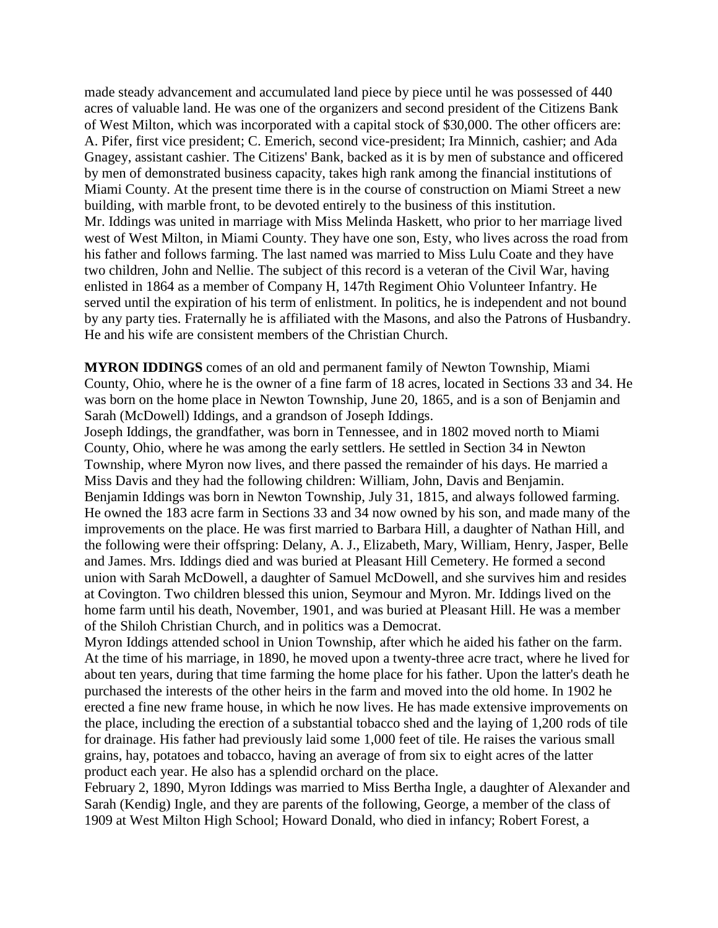made steady advancement and accumulated land piece by piece until he was possessed of 440 acres of valuable land. He was one of the organizers and second president of the Citizens Bank of West Milton, which was incorporated with a capital stock of \$30,000. The other officers are: A. Pifer, first vice president; C. Emerich, second vice-president; Ira Minnich, cashier; and Ada Gnagey, assistant cashier. The Citizens' Bank, backed as it is by men of substance and officered by men of demonstrated business capacity, takes high rank among the financial institutions of Miami County. At the present time there is in the course of construction on Miami Street a new building, with marble front, to be devoted entirely to the business of this institution. Mr. Iddings was united in marriage with Miss Melinda Haskett, who prior to her marriage lived west of West Milton, in Miami County. They have one son, Esty, who lives across the road from his father and follows farming. The last named was married to Miss Lulu Coate and they have two children, John and Nellie. The subject of this record is a veteran of the Civil War, having enlisted in 1864 as a member of Company H, 147th Regiment Ohio Volunteer Infantry. He served until the expiration of his term of enlistment. In politics, he is independent and not bound by any party ties. Fraternally he is affiliated with the Masons, and also the Patrons of Husbandry. He and his wife are consistent members of the Christian Church.

**MYRON IDDINGS** comes of an old and permanent family of Newton Township, Miami County, Ohio, where he is the owner of a fine farm of 18 acres, located in Sections 33 and 34. He was born on the home place in Newton Township, June 20, 1865, and is a son of Benjamin and Sarah (McDowell) Iddings, and a grandson of Joseph Iddings.

Joseph Iddings, the grandfather, was born in Tennessee, and in 1802 moved north to Miami County, Ohio, where he was among the early settlers. He settled in Section 34 in Newton Township, where Myron now lives, and there passed the remainder of his days. He married a Miss Davis and they had the following children: William, John, Davis and Benjamin. Benjamin Iddings was born in Newton Township, July 31, 1815, and always followed farming. He owned the 183 acre farm in Sections 33 and 34 now owned by his son, and made many of the improvements on the place. He was first married to Barbara Hill, a daughter of Nathan Hill, and the following were their offspring: Delany, A. J., Elizabeth, Mary, William, Henry, Jasper, Belle and James. Mrs. Iddings died and was buried at Pleasant Hill Cemetery. He formed a second union with Sarah McDowell, a daughter of Samuel McDowell, and she survives him and resides at Covington. Two children blessed this union, Seymour and Myron. Mr. Iddings lived on the home farm until his death, November, 1901, and was buried at Pleasant Hill. He was a member of the Shiloh Christian Church, and in politics was a Democrat.

Myron Iddings attended school in Union Township, after which he aided his father on the farm. At the time of his marriage, in 1890, he moved upon a twenty-three acre tract, where he lived for about ten years, during that time farming the home place for his father. Upon the latter's death he purchased the interests of the other heirs in the farm and moved into the old home. In 1902 he erected a fine new frame house, in which he now lives. He has made extensive improvements on the place, including the erection of a substantial tobacco shed and the laying of 1,200 rods of tile for drainage. His father had previously laid some 1,000 feet of tile. He raises the various small grains, hay, potatoes and tobacco, having an average of from six to eight acres of the latter product each year. He also has a splendid orchard on the place.

February 2, 1890, Myron Iddings was married to Miss Bertha Ingle, a daughter of Alexander and Sarah (Kendig) Ingle, and they are parents of the following, George, a member of the class of 1909 at West Milton High School; Howard Donald, who died in infancy; Robert Forest, a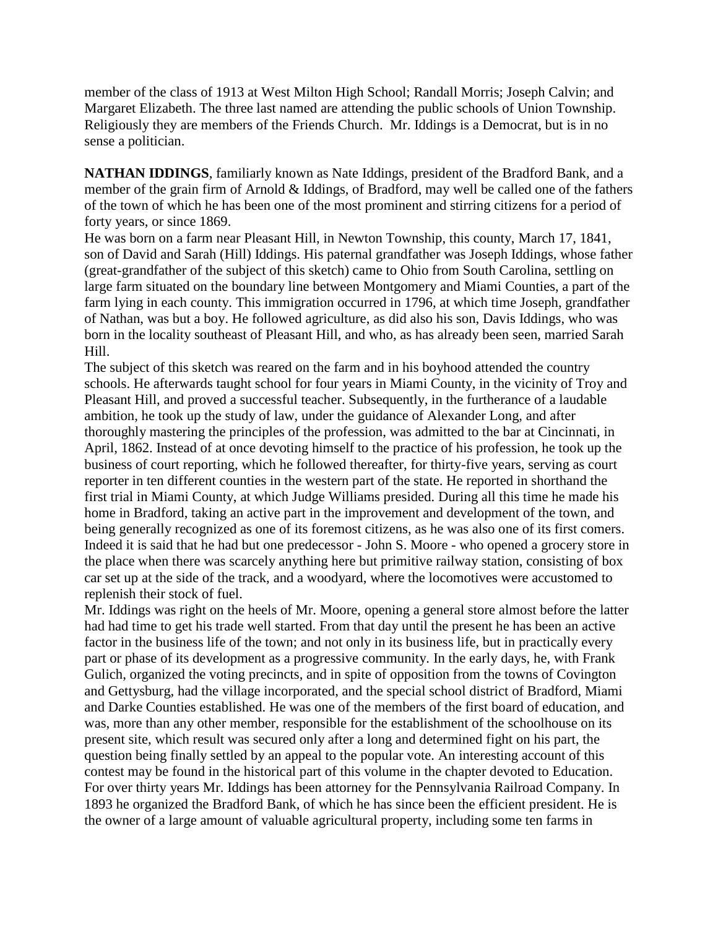member of the class of 1913 at West Milton High School; Randall Morris; Joseph Calvin; and Margaret Elizabeth. The three last named are attending the public schools of Union Township. Religiously they are members of the Friends Church. Mr. Iddings is a Democrat, but is in no sense a politician.

**NATHAN IDDINGS**, familiarly known as Nate Iddings, president of the Bradford Bank, and a member of the grain firm of Arnold & Iddings, of Bradford, may well be called one of the fathers of the town of which he has been one of the most prominent and stirring citizens for a period of forty years, or since 1869.

He was born on a farm near Pleasant Hill, in Newton Township, this county, March 17, 1841, son of David and Sarah (Hill) Iddings. His paternal grandfather was Joseph Iddings, whose father (great-grandfather of the subject of this sketch) came to Ohio from South Carolina, settling on large farm situated on the boundary line between Montgomery and Miami Counties, a part of the farm lying in each county. This immigration occurred in 1796, at which time Joseph, grandfather of Nathan, was but a boy. He followed agriculture, as did also his son, Davis Iddings, who was born in the locality southeast of Pleasant Hill, and who, as has already been seen, married Sarah Hill.

The subject of this sketch was reared on the farm and in his boyhood attended the country schools. He afterwards taught school for four years in Miami County, in the vicinity of Troy and Pleasant Hill, and proved a successful teacher. Subsequently, in the furtherance of a laudable ambition, he took up the study of law, under the guidance of Alexander Long, and after thoroughly mastering the principles of the profession, was admitted to the bar at Cincinnati, in April, 1862. Instead of at once devoting himself to the practice of his profession, he took up the business of court reporting, which he followed thereafter, for thirty-five years, serving as court reporter in ten different counties in the western part of the state. He reported in shorthand the first trial in Miami County, at which Judge Williams presided. During all this time he made his home in Bradford, taking an active part in the improvement and development of the town, and being generally recognized as one of its foremost citizens, as he was also one of its first comers. Indeed it is said that he had but one predecessor - John S. Moore - who opened a grocery store in the place when there was scarcely anything here but primitive railway station, consisting of box car set up at the side of the track, and a woodyard, where the locomotives were accustomed to replenish their stock of fuel.

Mr. Iddings was right on the heels of Mr. Moore, opening a general store almost before the latter had had time to get his trade well started. From that day until the present he has been an active factor in the business life of the town; and not only in its business life, but in practically every part or phase of its development as a progressive community. In the early days, he, with Frank Gulich, organized the voting precincts, and in spite of opposition from the towns of Covington and Gettysburg, had the village incorporated, and the special school district of Bradford, Miami and Darke Counties established. He was one of the members of the first board of education, and was, more than any other member, responsible for the establishment of the schoolhouse on its present site, which result was secured only after a long and determined fight on his part, the question being finally settled by an appeal to the popular vote. An interesting account of this contest may be found in the historical part of this volume in the chapter devoted to Education. For over thirty years Mr. Iddings has been attorney for the Pennsylvania Railroad Company. In 1893 he organized the Bradford Bank, of which he has since been the efficient president. He is the owner of a large amount of valuable agricultural property, including some ten farms in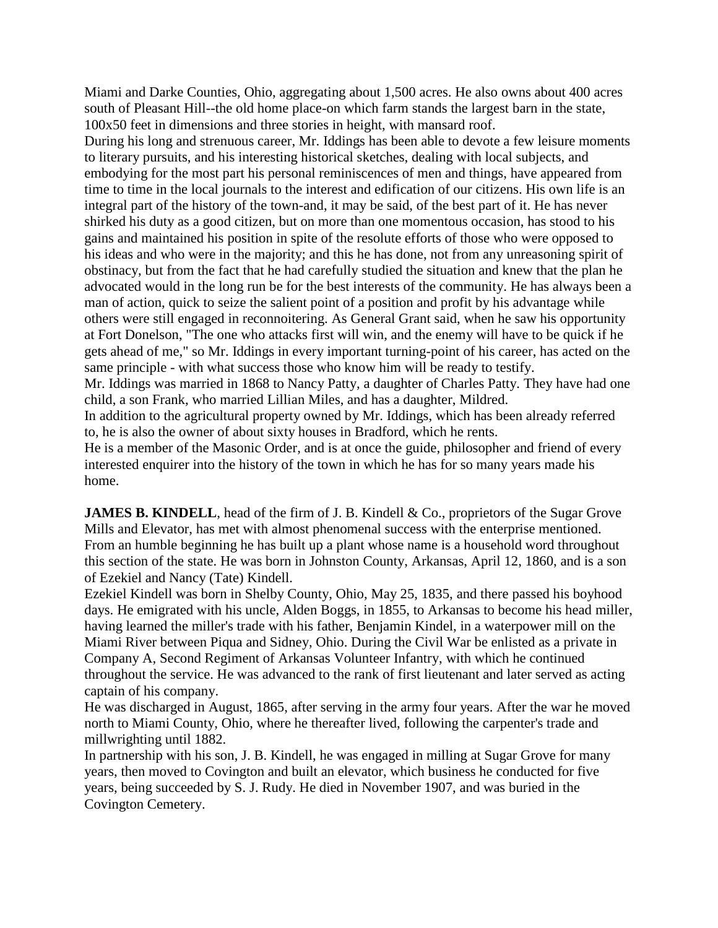Miami and Darke Counties, Ohio, aggregating about 1,500 acres. He also owns about 400 acres south of Pleasant Hill--the old home place-on which farm stands the largest barn in the state, 100x50 feet in dimensions and three stories in height, with mansard roof.

During his long and strenuous career, Mr. Iddings has been able to devote a few leisure moments to literary pursuits, and his interesting historical sketches, dealing with local subjects, and embodying for the most part his personal reminiscences of men and things, have appeared from time to time in the local journals to the interest and edification of our citizens. His own life is an integral part of the history of the town-and, it may be said, of the best part of it. He has never shirked his duty as a good citizen, but on more than one momentous occasion, has stood to his gains and maintained his position in spite of the resolute efforts of those who were opposed to his ideas and who were in the majority; and this he has done, not from any unreasoning spirit of obstinacy, but from the fact that he had carefully studied the situation and knew that the plan he advocated would in the long run be for the best interests of the community. He has always been a man of action, quick to seize the salient point of a position and profit by his advantage while others were still engaged in reconnoitering. As General Grant said, when he saw his opportunity at Fort Donelson, "The one who attacks first will win, and the enemy will have to be quick if he gets ahead of me," so Mr. Iddings in every important turning-point of his career, has acted on the same principle - with what success those who know him will be ready to testify.

Mr. Iddings was married in 1868 to Nancy Patty, a daughter of Charles Patty. They have had one child, a son Frank, who married Lillian Miles, and has a daughter, Mildred.

In addition to the agricultural property owned by Mr. Iddings, which has been already referred to, he is also the owner of about sixty houses in Bradford, which he rents.

He is a member of the Masonic Order, and is at once the guide, philosopher and friend of every interested enquirer into the history of the town in which he has for so many years made his home.

**JAMES B. KINDELL**, head of the firm of J. B. Kindell & Co., proprietors of the Sugar Grove Mills and Elevator, has met with almost phenomenal success with the enterprise mentioned. From an humble beginning he has built up a plant whose name is a household word throughout this section of the state. He was born in Johnston County, Arkansas, April 12, 1860, and is a son of Ezekiel and Nancy (Tate) Kindell.

Ezekiel Kindell was born in Shelby County, Ohio, May 25, 1835, and there passed his boyhood days. He emigrated with his uncle, Alden Boggs, in 1855, to Arkansas to become his head miller, having learned the miller's trade with his father, Benjamin Kindel, in a waterpower mill on the Miami River between Piqua and Sidney, Ohio. During the Civil War be enlisted as a private in Company A, Second Regiment of Arkansas Volunteer Infantry, with which he continued throughout the service. He was advanced to the rank of first lieutenant and later served as acting captain of his company.

He was discharged in August, 1865, after serving in the army four years. After the war he moved north to Miami County, Ohio, where he thereafter lived, following the carpenter's trade and millwrighting until 1882.

In partnership with his son, J. B. Kindell, he was engaged in milling at Sugar Grove for many years, then moved to Covington and built an elevator, which business he conducted for five years, being succeeded by S. J. Rudy. He died in November 1907, and was buried in the Covington Cemetery.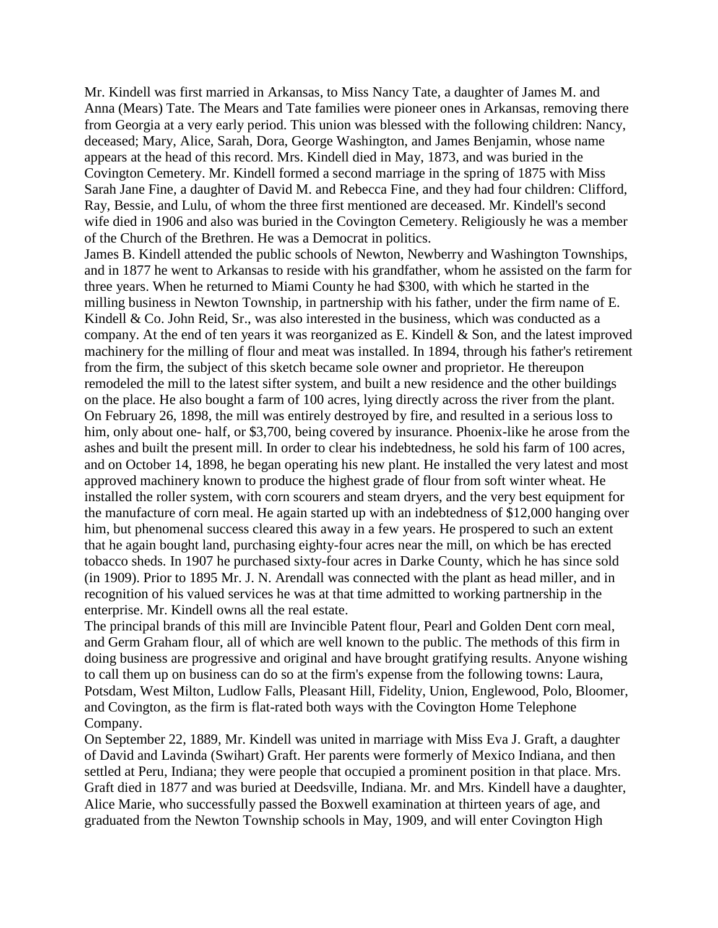Mr. Kindell was first married in Arkansas, to Miss Nancy Tate, a daughter of James M. and Anna (Mears) Tate. The Mears and Tate families were pioneer ones in Arkansas, removing there from Georgia at a very early period. This union was blessed with the following children: Nancy, deceased; Mary, Alice, Sarah, Dora, George Washington, and James Benjamin, whose name appears at the head of this record. Mrs. Kindell died in May, 1873, and was buried in the Covington Cemetery. Mr. Kindell formed a second marriage in the spring of 1875 with Miss Sarah Jane Fine, a daughter of David M. and Rebecca Fine, and they had four children: Clifford, Ray, Bessie, and Lulu, of whom the three first mentioned are deceased. Mr. Kindell's second wife died in 1906 and also was buried in the Covington Cemetery. Religiously he was a member of the Church of the Brethren. He was a Democrat in politics.

James B. Kindell attended the public schools of Newton, Newberry and Washington Townships, and in 1877 he went to Arkansas to reside with his grandfather, whom he assisted on the farm for three years. When he returned to Miami County he had \$300, with which he started in the milling business in Newton Township, in partnership with his father, under the firm name of E. Kindell & Co. John Reid, Sr., was also interested in the business, which was conducted as a company. At the end of ten years it was reorganized as E. Kindell & Son, and the latest improved machinery for the milling of flour and meat was installed. In 1894, through his father's retirement from the firm, the subject of this sketch became sole owner and proprietor. He thereupon remodeled the mill to the latest sifter system, and built a new residence and the other buildings on the place. He also bought a farm of 100 acres, lying directly across the river from the plant. On February 26, 1898, the mill was entirely destroyed by fire, and resulted in a serious loss to him, only about one- half, or \$3,700, being covered by insurance. Phoenix-like he arose from the ashes and built the present mill. In order to clear his indebtedness, he sold his farm of 100 acres, and on October 14, 1898, he began operating his new plant. He installed the very latest and most approved machinery known to produce the highest grade of flour from soft winter wheat. He installed the roller system, with corn scourers and steam dryers, and the very best equipment for the manufacture of corn meal. He again started up with an indebtedness of \$12,000 hanging over him, but phenomenal success cleared this away in a few years. He prospered to such an extent that he again bought land, purchasing eighty-four acres near the mill, on which be has erected tobacco sheds. In 1907 he purchased sixty-four acres in Darke County, which he has since sold (in 1909). Prior to 1895 Mr. J. N. Arendall was connected with the plant as head miller, and in recognition of his valued services he was at that time admitted to working partnership in the enterprise. Mr. Kindell owns all the real estate.

The principal brands of this mill are Invincible Patent flour, Pearl and Golden Dent corn meal, and Germ Graham flour, all of which are well known to the public. The methods of this firm in doing business are progressive and original and have brought gratifying results. Anyone wishing to call them up on business can do so at the firm's expense from the following towns: Laura, Potsdam, West Milton, Ludlow Falls, Pleasant Hill, Fidelity, Union, Englewood, Polo, Bloomer, and Covington, as the firm is flat-rated both ways with the Covington Home Telephone Company.

On September 22, 1889, Mr. Kindell was united in marriage with Miss Eva J. Graft, a daughter of David and Lavinda (Swihart) Graft. Her parents were formerly of Mexico Indiana, and then settled at Peru, Indiana; they were people that occupied a prominent position in that place. Mrs. Graft died in 1877 and was buried at Deedsville, Indiana. Mr. and Mrs. Kindell have a daughter, Alice Marie, who successfully passed the Boxwell examination at thirteen years of age, and graduated from the Newton Township schools in May, 1909, and will enter Covington High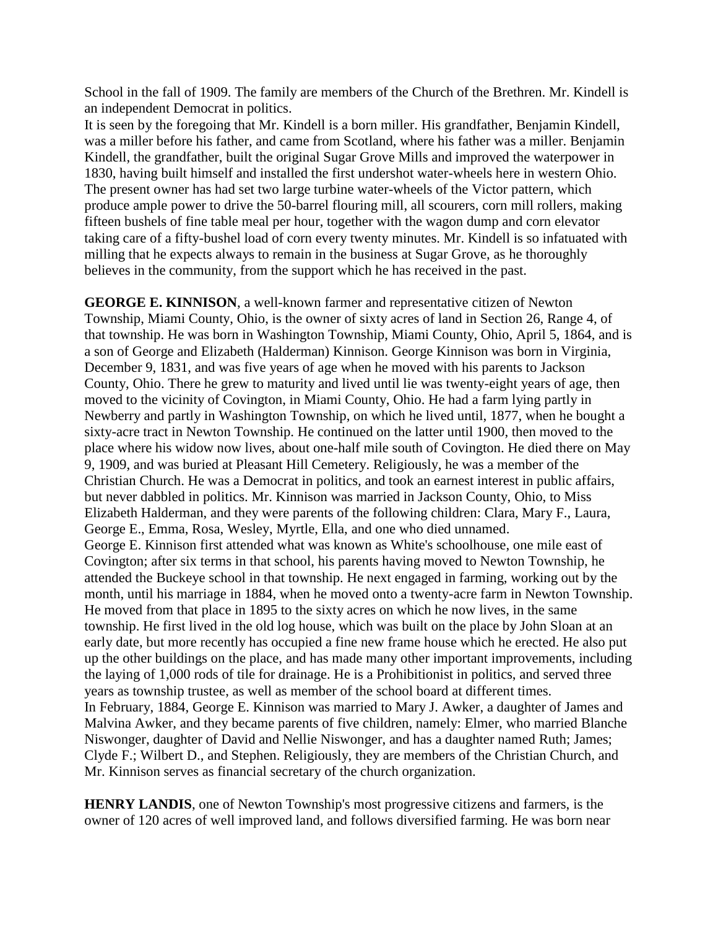School in the fall of 1909. The family are members of the Church of the Brethren. Mr. Kindell is an independent Democrat in politics.

It is seen by the foregoing that Mr. Kindell is a born miller. His grandfather, Benjamin Kindell, was a miller before his father, and came from Scotland, where his father was a miller. Benjamin Kindell, the grandfather, built the original Sugar Grove Mills and improved the waterpower in 1830, having built himself and installed the first undershot water-wheels here in western Ohio. The present owner has had set two large turbine water-wheels of the Victor pattern, which produce ample power to drive the 50-barrel flouring mill, all scourers, corn mill rollers, making fifteen bushels of fine table meal per hour, together with the wagon dump and corn elevator taking care of a fifty-bushel load of corn every twenty minutes. Mr. Kindell is so infatuated with milling that he expects always to remain in the business at Sugar Grove, as he thoroughly believes in the community, from the support which he has received in the past.

**GEORGE E. KINNISON**, a well-known farmer and representative citizen of Newton Township, Miami County, Ohio, is the owner of sixty acres of land in Section 26, Range 4, of that township. He was born in Washington Township, Miami County, Ohio, April 5, 1864, and is a son of George and Elizabeth (Halderman) Kinnison. George Kinnison was born in Virginia, December 9, 1831, and was five years of age when he moved with his parents to Jackson County, Ohio. There he grew to maturity and lived until lie was twenty-eight years of age, then moved to the vicinity of Covington, in Miami County, Ohio. He had a farm lying partly in Newberry and partly in Washington Township, on which he lived until, 1877, when he bought a sixty-acre tract in Newton Township. He continued on the latter until 1900, then moved to the place where his widow now lives, about one-half mile south of Covington. He died there on May 9, 1909, and was buried at Pleasant Hill Cemetery. Religiously, he was a member of the Christian Church. He was a Democrat in politics, and took an earnest interest in public affairs, but never dabbled in politics. Mr. Kinnison was married in Jackson County, Ohio, to Miss Elizabeth Halderman, and they were parents of the following children: Clara, Mary F., Laura, George E., Emma, Rosa, Wesley, Myrtle, Ella, and one who died unnamed. George E. Kinnison first attended what was known as White's schoolhouse, one mile east of Covington; after six terms in that school, his parents having moved to Newton Township, he attended the Buckeye school in that township. He next engaged in farming, working out by the month, until his marriage in 1884, when he moved onto a twenty-acre farm in Newton Township. He moved from that place in 1895 to the sixty acres on which he now lives, in the same township. He first lived in the old log house, which was built on the place by John Sloan at an early date, but more recently has occupied a fine new frame house which he erected. He also put up the other buildings on the place, and has made many other important improvements, including the laying of 1,000 rods of tile for drainage. He is a Prohibitionist in politics, and served three years as township trustee, as well as member of the school board at different times. In February, 1884, George E. Kinnison was married to Mary J. Awker, a daughter of James and Malvina Awker, and they became parents of five children, namely: Elmer, who married Blanche Niswonger, daughter of David and Nellie Niswonger, and has a daughter named Ruth; James; Clyde F.; Wilbert D., and Stephen. Religiously, they are members of the Christian Church, and Mr. Kinnison serves as financial secretary of the church organization.

**HENRY LANDIS**, one of Newton Township's most progressive citizens and farmers, is the owner of 120 acres of well improved land, and follows diversified farming. He was born near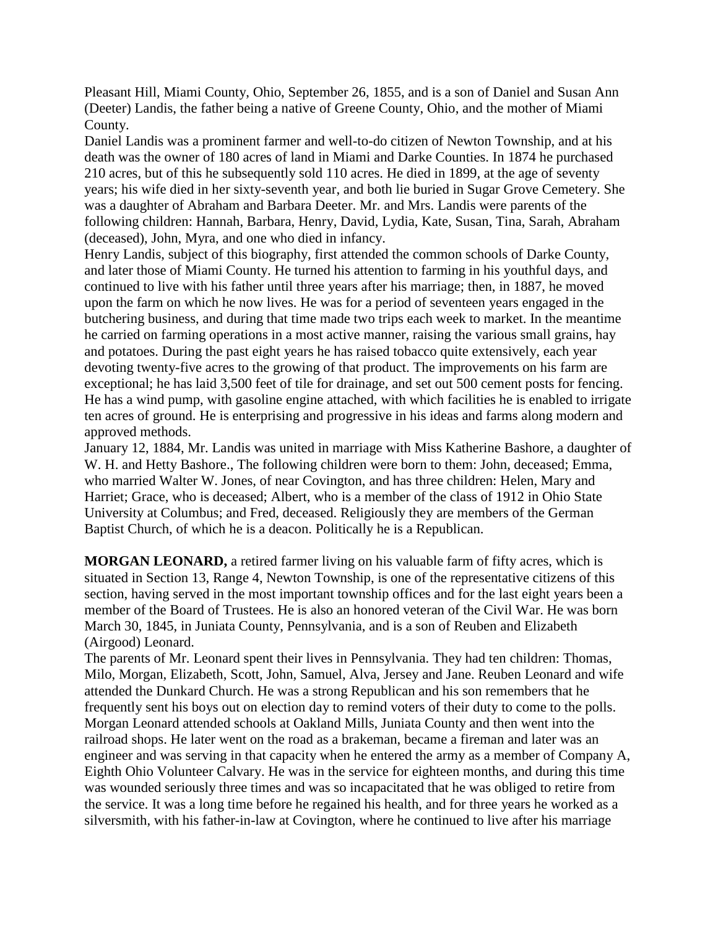Pleasant Hill, Miami County, Ohio, September 26, 1855, and is a son of Daniel and Susan Ann (Deeter) Landis, the father being a native of Greene County, Ohio, and the mother of Miami County.

Daniel Landis was a prominent farmer and well-to-do citizen of Newton Township, and at his death was the owner of 180 acres of land in Miami and Darke Counties. In 1874 he purchased 210 acres, but of this he subsequently sold 110 acres. He died in 1899, at the age of seventy years; his wife died in her sixty-seventh year, and both lie buried in Sugar Grove Cemetery. She was a daughter of Abraham and Barbara Deeter. Mr. and Mrs. Landis were parents of the following children: Hannah, Barbara, Henry, David, Lydia, Kate, Susan, Tina, Sarah, Abraham (deceased), John, Myra, and one who died in infancy.

Henry Landis, subject of this biography, first attended the common schools of Darke County, and later those of Miami County. He turned his attention to farming in his youthful days, and continued to live with his father until three years after his marriage; then, in 1887, he moved upon the farm on which he now lives. He was for a period of seventeen years engaged in the butchering business, and during that time made two trips each week to market. In the meantime he carried on farming operations in a most active manner, raising the various small grains, hay and potatoes. During the past eight years he has raised tobacco quite extensively, each year devoting twenty-five acres to the growing of that product. The improvements on his farm are exceptional; he has laid 3,500 feet of tile for drainage, and set out 500 cement posts for fencing. He has a wind pump, with gasoline engine attached, with which facilities he is enabled to irrigate ten acres of ground. He is enterprising and progressive in his ideas and farms along modern and approved methods.

January 12, 1884, Mr. Landis was united in marriage with Miss Katherine Bashore, a daughter of W. H. and Hetty Bashore., The following children were born to them: John, deceased; Emma, who married Walter W. Jones, of near Covington, and has three children: Helen, Mary and Harriet; Grace, who is deceased; Albert, who is a member of the class of 1912 in Ohio State University at Columbus; and Fred, deceased. Religiously they are members of the German Baptist Church, of which he is a deacon. Politically he is a Republican.

**MORGAN LEONARD,** a retired farmer living on his valuable farm of fifty acres, which is situated in Section 13, Range 4, Newton Township, is one of the representative citizens of this section, having served in the most important township offices and for the last eight years been a member of the Board of Trustees. He is also an honored veteran of the Civil War. He was born March 30, 1845, in Juniata County, Pennsylvania, and is a son of Reuben and Elizabeth (Airgood) Leonard.

The parents of Mr. Leonard spent their lives in Pennsylvania. They had ten children: Thomas, Milo, Morgan, Elizabeth, Scott, John, Samuel, Alva, Jersey and Jane. Reuben Leonard and wife attended the Dunkard Church. He was a strong Republican and his son remembers that he frequently sent his boys out on election day to remind voters of their duty to come to the polls. Morgan Leonard attended schools at Oakland Mills, Juniata County and then went into the railroad shops. He later went on the road as a brakeman, became a fireman and later was an engineer and was serving in that capacity when he entered the army as a member of Company A, Eighth Ohio Volunteer Calvary. He was in the service for eighteen months, and during this time was wounded seriously three times and was so incapacitated that he was obliged to retire from the service. It was a long time before he regained his health, and for three years he worked as a silversmith, with his father-in-law at Covington, where he continued to live after his marriage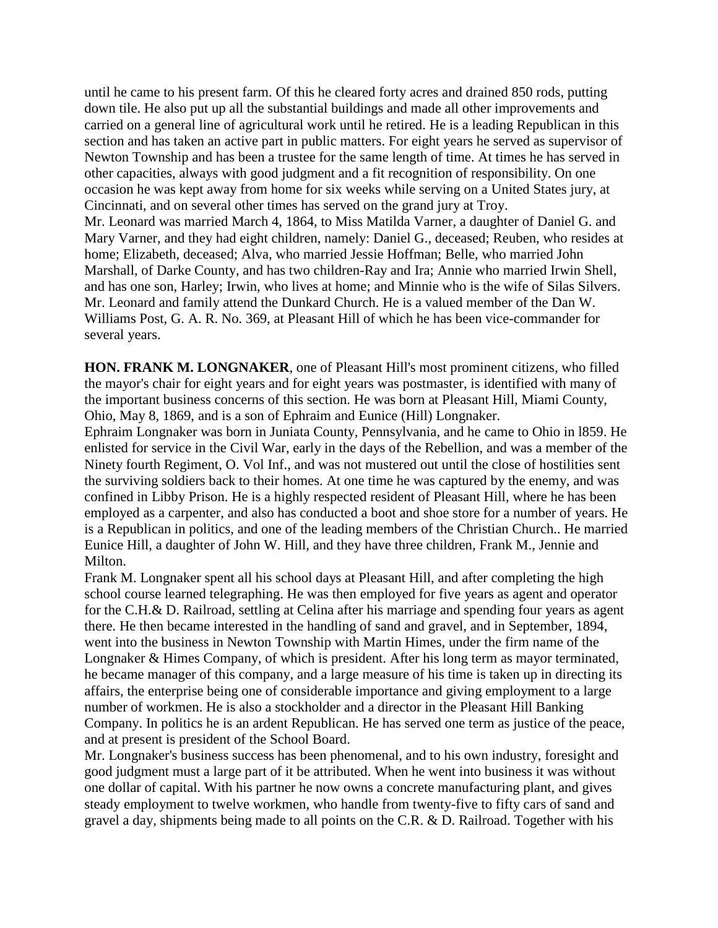until he came to his present farm. Of this he cleared forty acres and drained 850 rods, putting down tile. He also put up all the substantial buildings and made all other improvements and carried on a general line of agricultural work until he retired. He is a leading Republican in this section and has taken an active part in public matters. For eight years he served as supervisor of Newton Township and has been a trustee for the same length of time. At times he has served in other capacities, always with good judgment and a fit recognition of responsibility. On one occasion he was kept away from home for six weeks while serving on a United States jury, at Cincinnati, and on several other times has served on the grand jury at Troy. Mr. Leonard was married March 4, 1864, to Miss Matilda Varner, a daughter of Daniel G. and Mary Varner, and they had eight children, namely: Daniel G., deceased; Reuben, who resides at home; Elizabeth, deceased; Alva, who married Jessie Hoffman; Belle, who married John Marshall, of Darke County, and has two children-Ray and Ira; Annie who married Irwin Shell, and has one son, Harley; Irwin, who lives at home; and Minnie who is the wife of Silas Silvers. Mr. Leonard and family attend the Dunkard Church. He is a valued member of the Dan W. Williams Post, G. A. R. No. 369, at Pleasant Hill of which he has been vice-commander for several years.

**HON. FRANK M. LONGNAKER**, one of Pleasant Hill's most prominent citizens, who filled the mayor's chair for eight years and for eight years was postmaster, is identified with many of the important business concerns of this section. He was born at Pleasant Hill, Miami County, Ohio, May 8, 1869, and is a son of Ephraim and Eunice (Hill) Longnaker.

Ephraim Longnaker was born in Juniata County, Pennsylvania, and he came to Ohio in l859. He enlisted for service in the Civil War, early in the days of the Rebellion, and was a member of the Ninety fourth Regiment, O. Vol Inf., and was not mustered out until the close of hostilities sent the surviving soldiers back to their homes. At one time he was captured by the enemy, and was confined in Libby Prison. He is a highly respected resident of Pleasant Hill, where he has been employed as a carpenter, and also has conducted a boot and shoe store for a number of years. He is a Republican in politics, and one of the leading members of the Christian Church.. He married Eunice Hill, a daughter of John W. Hill, and they have three children, Frank M., Jennie and Milton.

Frank M. Longnaker spent all his school days at Pleasant Hill, and after completing the high school course learned telegraphing. He was then employed for five years as agent and operator for the C.H.& D. Railroad, settling at Celina after his marriage and spending four years as agent there. He then became interested in the handling of sand and gravel, and in September, 1894, went into the business in Newton Township with Martin Himes, under the firm name of the Longnaker & Himes Company, of which is president. After his long term as mayor terminated, he became manager of this company, and a large measure of his time is taken up in directing its affairs, the enterprise being one of considerable importance and giving employment to a large number of workmen. He is also a stockholder and a director in the Pleasant Hill Banking Company. In politics he is an ardent Republican. He has served one term as justice of the peace, and at present is president of the School Board.

Mr. Longnaker's business success has been phenomenal, and to his own industry, foresight and good judgment must a large part of it be attributed. When he went into business it was without one dollar of capital. With his partner he now owns a concrete manufacturing plant, and gives steady employment to twelve workmen, who handle from twenty-five to fifty cars of sand and gravel a day, shipments being made to all points on the C.R. & D. Railroad. Together with his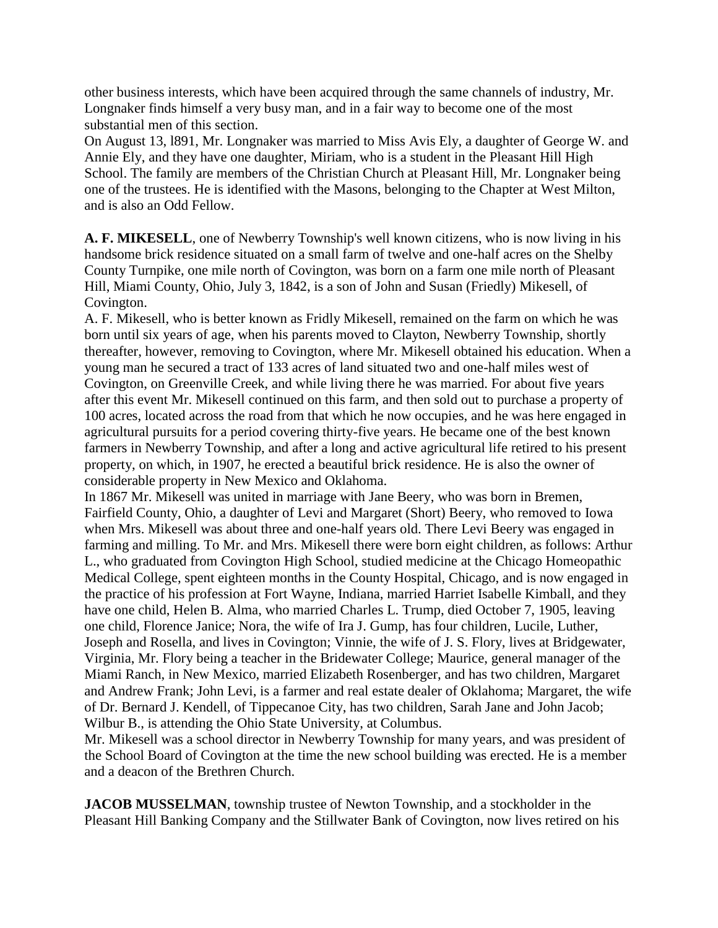other business interests, which have been acquired through the same channels of industry, Mr. Longnaker finds himself a very busy man, and in a fair way to become one of the most substantial men of this section.

On August 13, l891, Mr. Longnaker was married to Miss Avis Ely, a daughter of George W. and Annie Ely, and they have one daughter, Miriam, who is a student in the Pleasant Hill High School. The family are members of the Christian Church at Pleasant Hill, Mr. Longnaker being one of the trustees. He is identified with the Masons, belonging to the Chapter at West Milton, and is also an Odd Fellow.

**A. F. MIKESELL**, one of Newberry Township's well known citizens, who is now living in his handsome brick residence situated on a small farm of twelve and one-half acres on the Shelby County Turnpike, one mile north of Covington, was born on a farm one mile north of Pleasant Hill, Miami County, Ohio, July 3, 1842, is a son of John and Susan (Friedly) Mikesell, of Covington.

A. F. Mikesell, who is better known as Fridly Mikesell, remained on the farm on which he was born until six years of age, when his parents moved to Clayton, Newberry Township, shortly thereafter, however, removing to Covington, where Mr. Mikesell obtained his education. When a young man he secured a tract of 133 acres of land situated two and one-half miles west of Covington, on Greenville Creek, and while living there he was married. For about five years after this event Mr. Mikesell continued on this farm, and then sold out to purchase a property of 100 acres, located across the road from that which he now occupies, and he was here engaged in agricultural pursuits for a period covering thirty-five years. He became one of the best known farmers in Newberry Township, and after a long and active agricultural life retired to his present property, on which, in 1907, he erected a beautiful brick residence. He is also the owner of considerable property in New Mexico and Oklahoma.

In 1867 Mr. Mikesell was united in marriage with Jane Beery, who was born in Bremen, Fairfield County, Ohio, a daughter of Levi and Margaret (Short) Beery, who removed to Iowa when Mrs. Mikesell was about three and one-half years old. There Levi Beery was engaged in farming and milling. To Mr. and Mrs. Mikesell there were born eight children, as follows: Arthur L., who graduated from Covington High School, studied medicine at the Chicago Homeopathic Medical College, spent eighteen months in the County Hospital, Chicago, and is now engaged in the practice of his profession at Fort Wayne, Indiana, married Harriet Isabelle Kimball, and they have one child, Helen B. Alma, who married Charles L. Trump, died October 7, 1905, leaving one child, Florence Janice; Nora, the wife of Ira J. Gump, has four children, Lucile, Luther, Joseph and Rosella, and lives in Covington; Vinnie, the wife of J. S. Flory, lives at Bridgewater, Virginia, Mr. Flory being a teacher in the Bridewater College; Maurice, general manager of the Miami Ranch, in New Mexico, married Elizabeth Rosenberger, and has two children, Margaret and Andrew Frank; John Levi, is a farmer and real estate dealer of Oklahoma; Margaret, the wife of Dr. Bernard J. Kendell, of Tippecanoe City, has two children, Sarah Jane and John Jacob; Wilbur B., is attending the Ohio State University, at Columbus.

Mr. Mikesell was a school director in Newberry Township for many years, and was president of the School Board of Covington at the time the new school building was erected. He is a member and a deacon of the Brethren Church.

**JACOB MUSSELMAN**, township trustee of Newton Township, and a stockholder in the Pleasant Hill Banking Company and the Stillwater Bank of Covington, now lives retired on his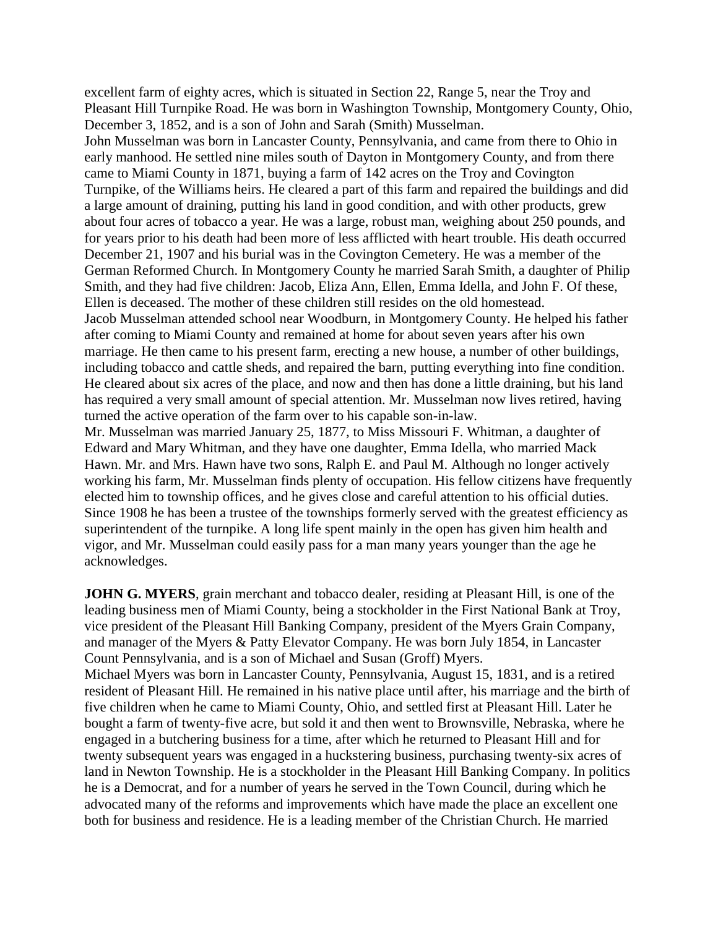excellent farm of eighty acres, which is situated in Section 22, Range 5, near the Troy and Pleasant Hill Turnpike Road. He was born in Washington Township, Montgomery County, Ohio, December 3, 1852, and is a son of John and Sarah (Smith) Musselman.

John Musselman was born in Lancaster County, Pennsylvania, and came from there to Ohio in early manhood. He settled nine miles south of Dayton in Montgomery County, and from there came to Miami County in 1871, buying a farm of 142 acres on the Troy and Covington Turnpike, of the Williams heirs. He cleared a part of this farm and repaired the buildings and did a large amount of draining, putting his land in good condition, and with other products, grew about four acres of tobacco a year. He was a large, robust man, weighing about 250 pounds, and for years prior to his death had been more of less afflicted with heart trouble. His death occurred December 21, 1907 and his burial was in the Covington Cemetery. He was a member of the German Reformed Church. In Montgomery County he married Sarah Smith, a daughter of Philip Smith, and they had five children: Jacob, Eliza Ann, Ellen, Emma Idella, and John F. Of these, Ellen is deceased. The mother of these children still resides on the old homestead. Jacob Musselman attended school near Woodburn, in Montgomery County. He helped his father after coming to Miami County and remained at home for about seven years after his own marriage. He then came to his present farm, erecting a new house, a number of other buildings, including tobacco and cattle sheds, and repaired the barn, putting everything into fine condition. He cleared about six acres of the place, and now and then has done a little draining, but his land has required a very small amount of special attention. Mr. Musselman now lives retired, having turned the active operation of the farm over to his capable son-in-law.

Mr. Musselman was married January 25, 1877, to Miss Missouri F. Whitman, a daughter of Edward and Mary Whitman, and they have one daughter, Emma Idella, who married Mack Hawn. Mr. and Mrs. Hawn have two sons, Ralph E. and Paul M. Although no longer actively working his farm, Mr. Musselman finds plenty of occupation. His fellow citizens have frequently elected him to township offices, and he gives close and careful attention to his official duties. Since 1908 he has been a trustee of the townships formerly served with the greatest efficiency as superintendent of the turnpike. A long life spent mainly in the open has given him health and vigor, and Mr. Musselman could easily pass for a man many years younger than the age he acknowledges.

**JOHN G. MYERS**, grain merchant and tobacco dealer, residing at Pleasant Hill, is one of the leading business men of Miami County, being a stockholder in the First National Bank at Troy, vice president of the Pleasant Hill Banking Company, president of the Myers Grain Company, and manager of the Myers & Patty Elevator Company. He was born July 1854, in Lancaster Count Pennsylvania, and is a son of Michael and Susan (Groff) Myers.

Michael Myers was born in Lancaster County, Pennsylvania, August 15, 1831, and is a retired resident of Pleasant Hill. He remained in his native place until after, his marriage and the birth of five children when he came to Miami County, Ohio, and settled first at Pleasant Hill. Later he bought a farm of twenty-five acre, but sold it and then went to Brownsville, Nebraska, where he engaged in a butchering business for a time, after which he returned to Pleasant Hill and for twenty subsequent years was engaged in a huckstering business, purchasing twenty-six acres of land in Newton Township. He is a stockholder in the Pleasant Hill Banking Company. In politics he is a Democrat, and for a number of years he served in the Town Council, during which he advocated many of the reforms and improvements which have made the place an excellent one both for business and residence. He is a leading member of the Christian Church. He married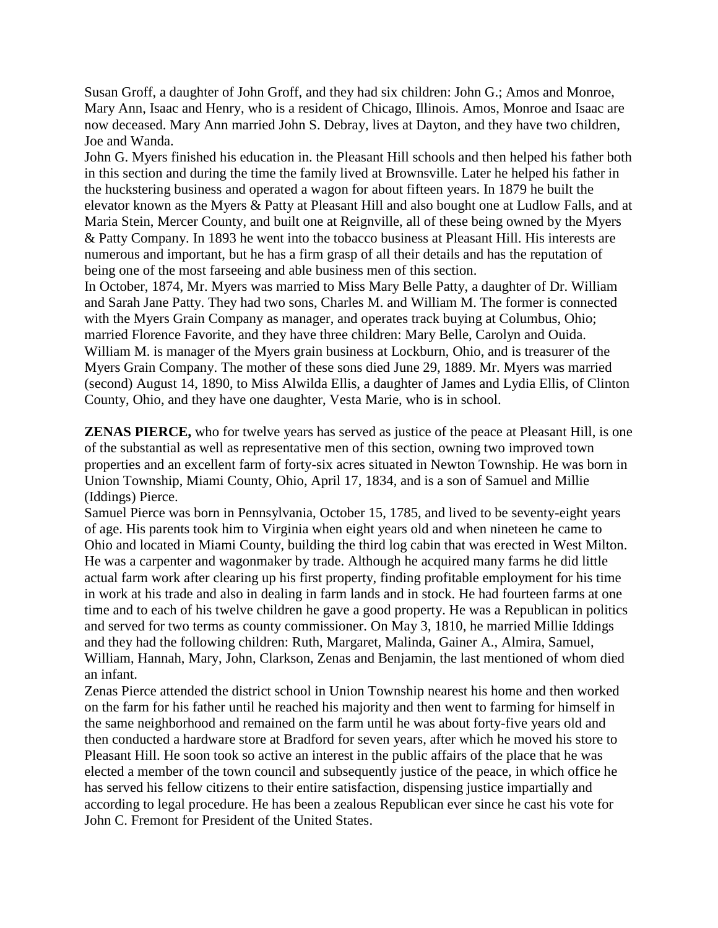Susan Groff, a daughter of John Groff, and they had six children: John G.; Amos and Monroe, Mary Ann, Isaac and Henry, who is a resident of Chicago, Illinois. Amos, Monroe and Isaac are now deceased. Mary Ann married John S. Debray, lives at Dayton, and they have two children, Joe and Wanda.

John G. Myers finished his education in. the Pleasant Hill schools and then helped his father both in this section and during the time the family lived at Brownsville. Later he helped his father in the huckstering business and operated a wagon for about fifteen years. In 1879 he built the elevator known as the Myers & Patty at Pleasant Hill and also bought one at Ludlow Falls, and at Maria Stein, Mercer County, and built one at Reignville, all of these being owned by the Myers & Patty Company. In 1893 he went into the tobacco business at Pleasant Hill. His interests are numerous and important, but he has a firm grasp of all their details and has the reputation of being one of the most farseeing and able business men of this section.

In October, 1874, Mr. Myers was married to Miss Mary Belle Patty, a daughter of Dr. William and Sarah Jane Patty. They had two sons, Charles M. and William M. The former is connected with the Myers Grain Company as manager, and operates track buying at Columbus, Ohio; married Florence Favorite, and they have three children: Mary Belle, Carolyn and Ouida. William M. is manager of the Myers grain business at Lockburn, Ohio, and is treasurer of the Myers Grain Company. The mother of these sons died June 29, 1889. Mr. Myers was married (second) August 14, 1890, to Miss Alwilda Ellis, a daughter of James and Lydia Ellis, of Clinton County, Ohio, and they have one daughter, Vesta Marie, who is in school.

**ZENAS PIERCE,** who for twelve years has served as justice of the peace at Pleasant Hill, is one of the substantial as well as representative men of this section, owning two improved town properties and an excellent farm of forty-six acres situated in Newton Township. He was born in Union Township, Miami County, Ohio, April 17, 1834, and is a son of Samuel and Millie (Iddings) Pierce.

Samuel Pierce was born in Pennsylvania, October 15, 1785, and lived to be seventy-eight years of age. His parents took him to Virginia when eight years old and when nineteen he came to Ohio and located in Miami County, building the third log cabin that was erected in West Milton. He was a carpenter and wagonmaker by trade. Although he acquired many farms he did little actual farm work after clearing up his first property, finding profitable employment for his time in work at his trade and also in dealing in farm lands and in stock. He had fourteen farms at one time and to each of his twelve children he gave a good property. He was a Republican in politics and served for two terms as county commissioner. On May 3, 1810, he married Millie Iddings and they had the following children: Ruth, Margaret, Malinda, Gainer A., Almira, Samuel, William, Hannah, Mary, John, Clarkson, Zenas and Benjamin, the last mentioned of whom died an infant.

Zenas Pierce attended the district school in Union Township nearest his home and then worked on the farm for his father until he reached his majority and then went to farming for himself in the same neighborhood and remained on the farm until he was about forty-five years old and then conducted a hardware store at Bradford for seven years, after which he moved his store to Pleasant Hill. He soon took so active an interest in the public affairs of the place that he was elected a member of the town council and subsequently justice of the peace, in which office he has served his fellow citizens to their entire satisfaction, dispensing justice impartially and according to legal procedure. He has been a zealous Republican ever since he cast his vote for John C. Fremont for President of the United States.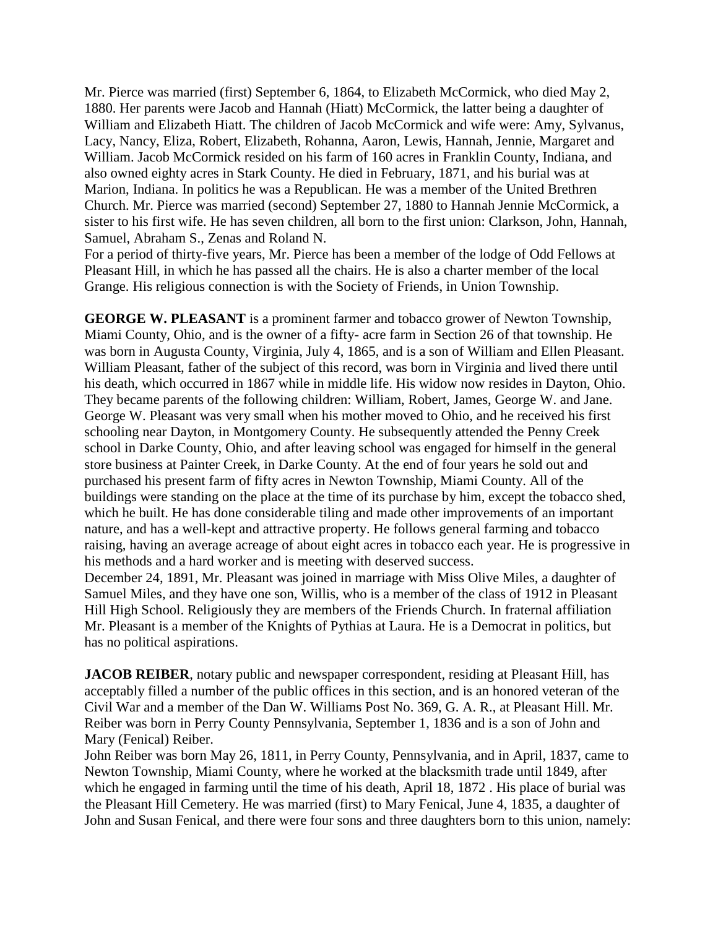Mr. Pierce was married (first) September 6, 1864, to Elizabeth McCormick, who died May 2, 1880. Her parents were Jacob and Hannah (Hiatt) McCormick, the latter being a daughter of William and Elizabeth Hiatt. The children of Jacob McCormick and wife were: Amy, Sylvanus, Lacy, Nancy, Eliza, Robert, Elizabeth, Rohanna, Aaron, Lewis, Hannah, Jennie, Margaret and William. Jacob McCormick resided on his farm of 160 acres in Franklin County, Indiana, and also owned eighty acres in Stark County. He died in February, 1871, and his burial was at Marion, Indiana. In politics he was a Republican. He was a member of the United Brethren Church. Mr. Pierce was married (second) September 27, 1880 to Hannah Jennie McCormick, a sister to his first wife. He has seven children, all born to the first union: Clarkson, John, Hannah, Samuel, Abraham S., Zenas and Roland N.

For a period of thirty-five years, Mr. Pierce has been a member of the lodge of Odd Fellows at Pleasant Hill, in which he has passed all the chairs. He is also a charter member of the local Grange. His religious connection is with the Society of Friends, in Union Township.

**GEORGE W. PLEASANT** is a prominent farmer and tobacco grower of Newton Township, Miami County, Ohio, and is the owner of a fifty- acre farm in Section 26 of that township. He was born in Augusta County, Virginia, July 4, 1865, and is a son of William and Ellen Pleasant. William Pleasant, father of the subject of this record, was born in Virginia and lived there until his death, which occurred in 1867 while in middle life. His widow now resides in Dayton, Ohio. They became parents of the following children: William, Robert, James, George W. and Jane. George W. Pleasant was very small when his mother moved to Ohio, and he received his first schooling near Dayton, in Montgomery County. He subsequently attended the Penny Creek school in Darke County, Ohio, and after leaving school was engaged for himself in the general store business at Painter Creek, in Darke County. At the end of four years he sold out and purchased his present farm of fifty acres in Newton Township, Miami County. All of the buildings were standing on the place at the time of its purchase by him, except the tobacco shed, which he built. He has done considerable tiling and made other improvements of an important nature, and has a well-kept and attractive property. He follows general farming and tobacco raising, having an average acreage of about eight acres in tobacco each year. He is progressive in his methods and a hard worker and is meeting with deserved success.

December 24, 1891, Mr. Pleasant was joined in marriage with Miss Olive Miles, a daughter of Samuel Miles, and they have one son, Willis, who is a member of the class of 1912 in Pleasant Hill High School. Religiously they are members of the Friends Church. In fraternal affiliation Mr. Pleasant is a member of the Knights of Pythias at Laura. He is a Democrat in politics, but has no political aspirations.

**JACOB REIBER**, notary public and newspaper correspondent, residing at Pleasant Hill, has acceptably filled a number of the public offices in this section, and is an honored veteran of the Civil War and a member of the Dan W. Williams Post No. 369, G. A. R., at Pleasant Hill. Mr. Reiber was born in Perry County Pennsylvania, September 1, 1836 and is a son of John and Mary (Fenical) Reiber.

John Reiber was born May 26, 1811, in Perry County, Pennsylvania, and in April, 1837, came to Newton Township, Miami County, where he worked at the blacksmith trade until 1849, after which he engaged in farming until the time of his death, April 18, 1872 . His place of burial was the Pleasant Hill Cemetery. He was married (first) to Mary Fenical, June 4, 1835, a daughter of John and Susan Fenical, and there were four sons and three daughters born to this union, namely: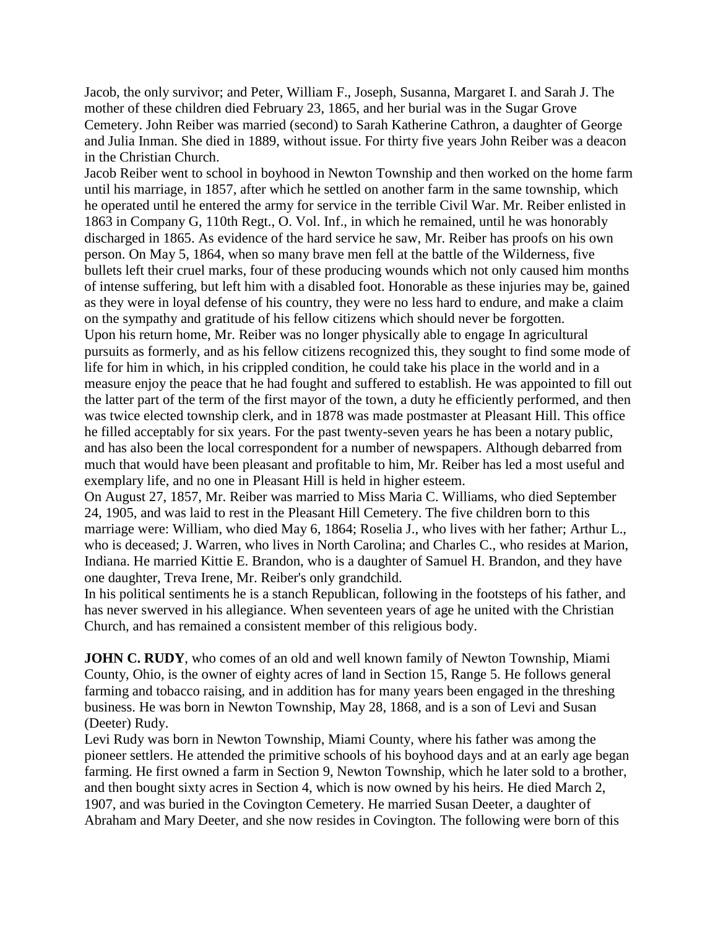Jacob, the only survivor; and Peter, William F., Joseph, Susanna, Margaret I. and Sarah J. The mother of these children died February 23, 1865, and her burial was in the Sugar Grove Cemetery. John Reiber was married (second) to Sarah Katherine Cathron, a daughter of George and Julia Inman. She died in 1889, without issue. For thirty five years John Reiber was a deacon in the Christian Church.

Jacob Reiber went to school in boyhood in Newton Township and then worked on the home farm until his marriage, in 1857, after which he settled on another farm in the same township, which he operated until he entered the army for service in the terrible Civil War. Mr. Reiber enlisted in 1863 in Company G, 110th Regt., O. Vol. Inf., in which he remained, until he was honorably discharged in 1865. As evidence of the hard service he saw, Mr. Reiber has proofs on his own person. On May 5, 1864, when so many brave men fell at the battle of the Wilderness, five bullets left their cruel marks, four of these producing wounds which not only caused him months of intense suffering, but left him with a disabled foot. Honorable as these injuries may be, gained as they were in loyal defense of his country, they were no less hard to endure, and make a claim on the sympathy and gratitude of his fellow citizens which should never be forgotten. Upon his return home, Mr. Reiber was no longer physically able to engage In agricultural pursuits as formerly, and as his fellow citizens recognized this, they sought to find some mode of life for him in which, in his crippled condition, he could take his place in the world and in a measure enjoy the peace that he had fought and suffered to establish. He was appointed to fill out the latter part of the term of the first mayor of the town, a duty he efficiently performed, and then was twice elected township clerk, and in 1878 was made postmaster at Pleasant Hill. This office he filled acceptably for six years. For the past twenty-seven years he has been a notary public, and has also been the local correspondent for a number of newspapers. Although debarred from much that would have been pleasant and profitable to him, Mr. Reiber has led a most useful and exemplary life, and no one in Pleasant Hill is held in higher esteem.

On August 27, 1857, Mr. Reiber was married to Miss Maria C. Williams, who died September 24, 1905, and was laid to rest in the Pleasant Hill Cemetery. The five children born to this marriage were: William, who died May 6, 1864; Roselia J., who lives with her father; Arthur L., who is deceased; J. Warren, who lives in North Carolina; and Charles C., who resides at Marion, Indiana. He married Kittie E. Brandon, who is a daughter of Samuel H. Brandon, and they have one daughter, Treva Irene, Mr. Reiber's only grandchild.

In his political sentiments he is a stanch Republican, following in the footsteps of his father, and has never swerved in his allegiance. When seventeen years of age he united with the Christian Church, and has remained a consistent member of this religious body.

**JOHN C. RUDY**, who comes of an old and well known family of Newton Township, Miami County, Ohio, is the owner of eighty acres of land in Section 15, Range 5. He follows general farming and tobacco raising, and in addition has for many years been engaged in the threshing business. He was born in Newton Township, May 28, 1868, and is a son of Levi and Susan (Deeter) Rudy.

Levi Rudy was born in Newton Township, Miami County, where his father was among the pioneer settlers. He attended the primitive schools of his boyhood days and at an early age began farming. He first owned a farm in Section 9, Newton Township, which he later sold to a brother, and then bought sixty acres in Section 4, which is now owned by his heirs. He died March 2, 1907, and was buried in the Covington Cemetery. He married Susan Deeter, a daughter of Abraham and Mary Deeter, and she now resides in Covington. The following were born of this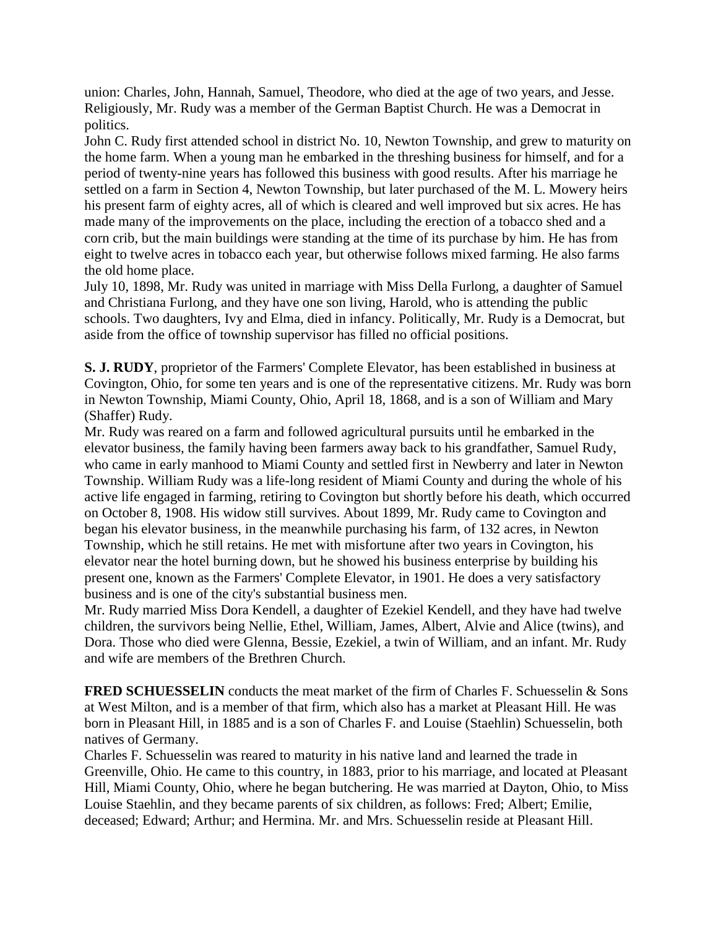union: Charles, John, Hannah, Samuel, Theodore, who died at the age of two years, and Jesse. Religiously, Mr. Rudy was a member of the German Baptist Church. He was a Democrat in politics.

John C. Rudy first attended school in district No. 10, Newton Township, and grew to maturity on the home farm. When a young man he embarked in the threshing business for himself, and for a period of twenty-nine years has followed this business with good results. After his marriage he settled on a farm in Section 4, Newton Township, but later purchased of the M. L. Mowery heirs his present farm of eighty acres, all of which is cleared and well improved but six acres. He has made many of the improvements on the place, including the erection of a tobacco shed and a corn crib, but the main buildings were standing at the time of its purchase by him. He has from eight to twelve acres in tobacco each year, but otherwise follows mixed farming. He also farms the old home place.

July 10, 1898, Mr. Rudy was united in marriage with Miss Della Furlong, a daughter of Samuel and Christiana Furlong, and they have one son living, Harold, who is attending the public schools. Two daughters, Ivy and Elma, died in infancy. Politically, Mr. Rudy is a Democrat, but aside from the office of township supervisor has filled no official positions.

**S. J. RUDY**, proprietor of the Farmers' Complete Elevator, has been established in business at Covington, Ohio, for some ten years and is one of the representative citizens. Mr. Rudy was born in Newton Township, Miami County, Ohio, April 18, 1868, and is a son of William and Mary (Shaffer) Rudy.

Mr. Rudy was reared on a farm and followed agricultural pursuits until he embarked in the elevator business, the family having been farmers away back to his grandfather, Samuel Rudy, who came in early manhood to Miami County and settled first in Newberry and later in Newton Township. William Rudy was a life-long resident of Miami County and during the whole of his active life engaged in farming, retiring to Covington but shortly before his death, which occurred on October 8, 1908. His widow still survives. About 1899, Mr. Rudy came to Covington and began his elevator business, in the meanwhile purchasing his farm, of 132 acres, in Newton Township, which he still retains. He met with misfortune after two years in Covington, his elevator near the hotel burning down, but he showed his business enterprise by building his present one, known as the Farmers' Complete Elevator, in 1901. He does a very satisfactory business and is one of the city's substantial business men.

Mr. Rudy married Miss Dora Kendell, a daughter of Ezekiel Kendell, and they have had twelve children, the survivors being Nellie, Ethel, William, James, Albert, Alvie and Alice (twins), and Dora. Those who died were Glenna, Bessie, Ezekiel, a twin of William, and an infant. Mr. Rudy and wife are members of the Brethren Church.

**FRED SCHUESSELIN** conducts the meat market of the firm of Charles F. Schuesselin & Sons at West Milton, and is a member of that firm, which also has a market at Pleasant Hill. He was born in Pleasant Hill, in 1885 and is a son of Charles F. and Louise (Staehlin) Schuesselin, both natives of Germany.

Charles F. Schuesselin was reared to maturity in his native land and learned the trade in Greenville, Ohio. He came to this country, in 1883, prior to his marriage, and located at Pleasant Hill, Miami County, Ohio, where he began butchering. He was married at Dayton, Ohio, to Miss Louise Staehlin, and they became parents of six children, as follows: Fred; Albert; Emilie, deceased; Edward; Arthur; and Hermina. Mr. and Mrs. Schuesselin reside at Pleasant Hill.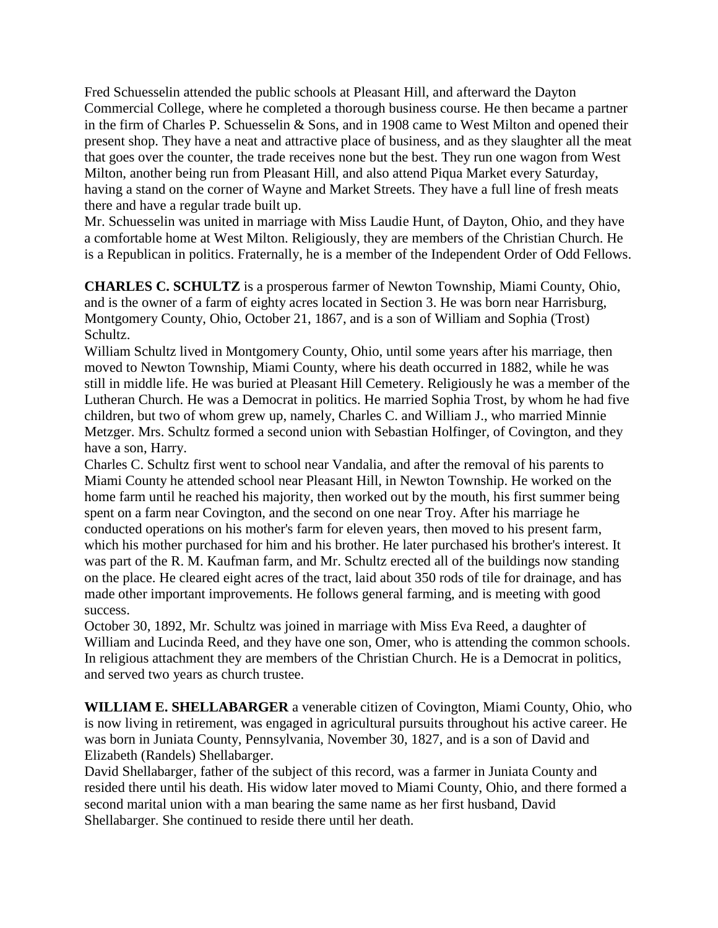Fred Schuesselin attended the public schools at Pleasant Hill, and afterward the Dayton Commercial College, where he completed a thorough business course. He then became a partner in the firm of Charles P. Schuesselin & Sons, and in 1908 came to West Milton and opened their present shop. They have a neat and attractive place of business, and as they slaughter all the meat that goes over the counter, the trade receives none but the best. They run one wagon from West Milton, another being run from Pleasant Hill, and also attend Piqua Market every Saturday, having a stand on the corner of Wayne and Market Streets. They have a full line of fresh meats there and have a regular trade built up.

Mr. Schuesselin was united in marriage with Miss Laudie Hunt, of Dayton, Ohio, and they have a comfortable home at West Milton. Religiously, they are members of the Christian Church. He is a Republican in politics. Fraternally, he is a member of the Independent Order of Odd Fellows.

**CHARLES C. SCHULTZ** is a prosperous farmer of Newton Township, Miami County, Ohio, and is the owner of a farm of eighty acres located in Section 3. He was born near Harrisburg, Montgomery County, Ohio, October 21, 1867, and is a son of William and Sophia (Trost) Schultz.

William Schultz lived in Montgomery County, Ohio, until some years after his marriage, then moved to Newton Township, Miami County, where his death occurred in 1882, while he was still in middle life. He was buried at Pleasant Hill Cemetery. Religiously he was a member of the Lutheran Church. He was a Democrat in politics. He married Sophia Trost, by whom he had five children, but two of whom grew up, namely, Charles C. and William J., who married Minnie Metzger. Mrs. Schultz formed a second union with Sebastian Holfinger, of Covington, and they have a son, Harry.

Charles C. Schultz first went to school near Vandalia, and after the removal of his parents to Miami County he attended school near Pleasant Hill, in Newton Township. He worked on the home farm until he reached his majority, then worked out by the mouth, his first summer being spent on a farm near Covington, and the second on one near Troy. After his marriage he conducted operations on his mother's farm for eleven years, then moved to his present farm, which his mother purchased for him and his brother. He later purchased his brother's interest. It was part of the R. M. Kaufman farm, and Mr. Schultz erected all of the buildings now standing on the place. He cleared eight acres of the tract, laid about 350 rods of tile for drainage, and has made other important improvements. He follows general farming, and is meeting with good success.

October 30, 1892, Mr. Schultz was joined in marriage with Miss Eva Reed, a daughter of William and Lucinda Reed, and they have one son, Omer, who is attending the common schools. In religious attachment they are members of the Christian Church. He is a Democrat in politics, and served two years as church trustee.

**WILLIAM E. SHELLABARGER** a venerable citizen of Covington, Miami County, Ohio, who is now living in retirement, was engaged in agricultural pursuits throughout his active career. He was born in Juniata County, Pennsylvania, November 30, 1827, and is a son of David and Elizabeth (Randels) Shellabarger.

David Shellabarger, father of the subject of this record, was a farmer in Juniata County and resided there until his death. His widow later moved to Miami County, Ohio, and there formed a second marital union with a man bearing the same name as her first husband, David Shellabarger. She continued to reside there until her death.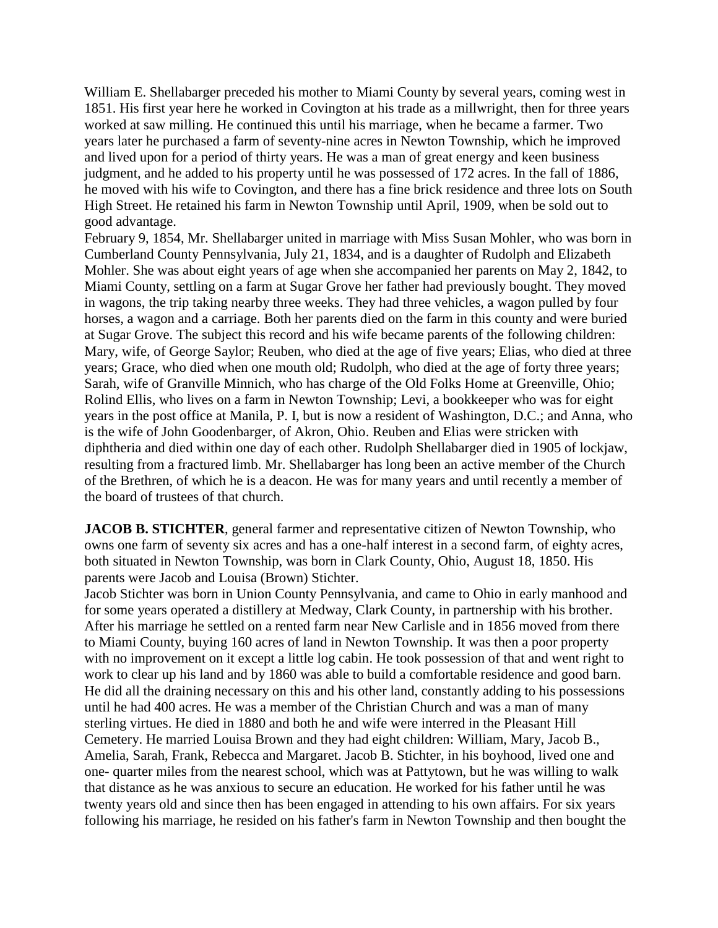William E. Shellabarger preceded his mother to Miami County by several years, coming west in 1851. His first year here he worked in Covington at his trade as a millwright, then for three years worked at saw milling. He continued this until his marriage, when he became a farmer. Two years later he purchased a farm of seventy-nine acres in Newton Township, which he improved and lived upon for a period of thirty years. He was a man of great energy and keen business judgment, and he added to his property until he was possessed of 172 acres. In the fall of 1886, he moved with his wife to Covington, and there has a fine brick residence and three lots on South High Street. He retained his farm in Newton Township until April, 1909, when be sold out to good advantage.

February 9, 1854, Mr. Shellabarger united in marriage with Miss Susan Mohler, who was born in Cumberland County Pennsylvania, July 21, 1834, and is a daughter of Rudolph and Elizabeth Mohler. She was about eight years of age when she accompanied her parents on May 2, 1842, to Miami County, settling on a farm at Sugar Grove her father had previously bought. They moved in wagons, the trip taking nearby three weeks. They had three vehicles, a wagon pulled by four horses, a wagon and a carriage. Both her parents died on the farm in this county and were buried at Sugar Grove. The subject this record and his wife became parents of the following children: Mary, wife, of George Saylor; Reuben, who died at the age of five years; Elias, who died at three years; Grace, who died when one mouth old; Rudolph, who died at the age of forty three years; Sarah, wife of Granville Minnich, who has charge of the Old Folks Home at Greenville, Ohio; Rolind Ellis, who lives on a farm in Newton Township; Levi, a bookkeeper who was for eight years in the post office at Manila, P. I, but is now a resident of Washington, D.C.; and Anna, who is the wife of John Goodenbarger, of Akron, Ohio. Reuben and Elias were stricken with diphtheria and died within one day of each other. Rudolph Shellabarger died in 1905 of lockjaw, resulting from a fractured limb. Mr. Shellabarger has long been an active member of the Church of the Brethren, of which he is a deacon. He was for many years and until recently a member of the board of trustees of that church.

**JACOB B. STICHTER**, general farmer and representative citizen of Newton Township, who owns one farm of seventy six acres and has a one-half interest in a second farm, of eighty acres, both situated in Newton Township, was born in Clark County, Ohio, August 18, 1850. His parents were Jacob and Louisa (Brown) Stichter.

Jacob Stichter was born in Union County Pennsylvania, and came to Ohio in early manhood and for some years operated a distillery at Medway, Clark County, in partnership with his brother. After his marriage he settled on a rented farm near New Carlisle and in 1856 moved from there to Miami County, buying 160 acres of land in Newton Township. It was then a poor property with no improvement on it except a little log cabin. He took possession of that and went right to work to clear up his land and by 1860 was able to build a comfortable residence and good barn. He did all the draining necessary on this and his other land, constantly adding to his possessions until he had 400 acres. He was a member of the Christian Church and was a man of many sterling virtues. He died in 1880 and both he and wife were interred in the Pleasant Hill Cemetery. He married Louisa Brown and they had eight children: William, Mary, Jacob B., Amelia, Sarah, Frank, Rebecca and Margaret. Jacob B. Stichter, in his boyhood, lived one and one- quarter miles from the nearest school, which was at Pattytown, but he was willing to walk that distance as he was anxious to secure an education. He worked for his father until he was twenty years old and since then has been engaged in attending to his own affairs. For six years following his marriage, he resided on his father's farm in Newton Township and then bought the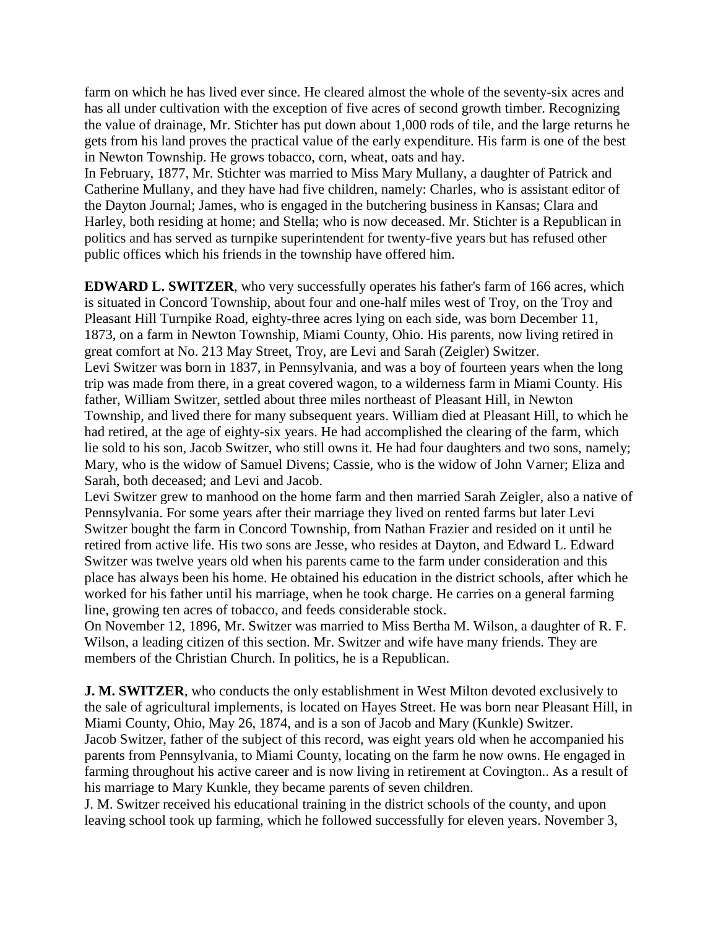farm on which he has lived ever since. He cleared almost the whole of the seventy-six acres and has all under cultivation with the exception of five acres of second growth timber. Recognizing the value of drainage, Mr. Stichter has put down about 1,000 rods of tile, and the large returns he gets from his land proves the practical value of the early expenditure. His farm is one of the best in Newton Township. He grows tobacco, corn, wheat, oats and hay.

In February, 1877, Mr. Stichter was married to Miss Mary Mullany, a daughter of Patrick and Catherine Mullany, and they have had five children, namely: Charles, who is assistant editor of the Dayton Journal; James, who is engaged in the butchering business in Kansas; Clara and Harley, both residing at home; and Stella; who is now deceased. Mr. Stichter is a Republican in politics and has served as turnpike superintendent for twenty-five years but has refused other public offices which his friends in the township have offered him.

**EDWARD L. SWITZER**, who very successfully operates his father's farm of 166 acres, which is situated in Concord Township, about four and one-half miles west of Troy, on the Troy and Pleasant Hill Turnpike Road, eighty-three acres lying on each side, was born December 11, 1873, on a farm in Newton Township, Miami County, Ohio. His parents, now living retired in great comfort at No. 213 May Street, Troy, are Levi and Sarah (Zeigler) Switzer. Levi Switzer was born in 1837, in Pennsylvania, and was a boy of fourteen years when the long trip was made from there, in a great covered wagon, to a wilderness farm in Miami County. His father, William Switzer, settled about three miles northeast of Pleasant Hill, in Newton Township, and lived there for many subsequent years. William died at Pleasant Hill, to which he had retired, at the age of eighty-six years. He had accomplished the clearing of the farm, which lie sold to his son, Jacob Switzer, who still owns it. He had four daughters and two sons, namely; Mary, who is the widow of Samuel Divens; Cassie, who is the widow of John Varner; Eliza and Sarah, both deceased; and Levi and Jacob.

Levi Switzer grew to manhood on the home farm and then married Sarah Zeigler, also a native of Pennsylvania. For some years after their marriage they lived on rented farms but later Levi Switzer bought the farm in Concord Township, from Nathan Frazier and resided on it until he retired from active life. His two sons are Jesse, who resides at Dayton, and Edward L. Edward Switzer was twelve years old when his parents came to the farm under consideration and this place has always been his home. He obtained his education in the district schools, after which he worked for his father until his marriage, when he took charge. He carries on a general farming line, growing ten acres of tobacco, and feeds considerable stock.

On November 12, 1896, Mr. Switzer was married to Miss Bertha M. Wilson, a daughter of R. F. Wilson, a leading citizen of this section. Mr. Switzer and wife have many friends. They are members of the Christian Church. In politics, he is a Republican.

**J. M. SWITZER**, who conducts the only establishment in West Milton devoted exclusively to the sale of agricultural implements, is located on Hayes Street. He was born near Pleasant Hill, in Miami County, Ohio, May 26, 1874, and is a son of Jacob and Mary (Kunkle) Switzer. Jacob Switzer, father of the subject of this record, was eight years old when he accompanied his parents from Pennsylvania, to Miami County, locating on the farm he now owns. He engaged in farming throughout his active career and is now living in retirement at Covington.. As a result of his marriage to Mary Kunkle, they became parents of seven children.

J. M. Switzer received his educational training in the district schools of the county, and upon leaving school took up farming, which he followed successfully for eleven years. November 3,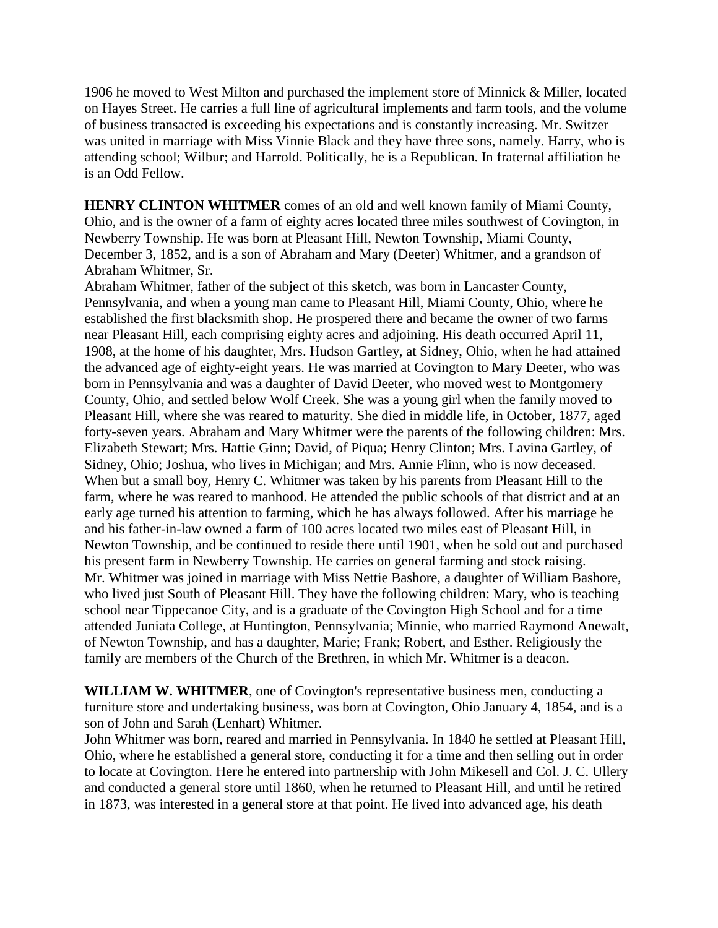1906 he moved to West Milton and purchased the implement store of Minnick & Miller, located on Hayes Street. He carries a full line of agricultural implements and farm tools, and the volume of business transacted is exceeding his expectations and is constantly increasing. Mr. Switzer was united in marriage with Miss Vinnie Black and they have three sons, namely. Harry, who is attending school; Wilbur; and Harrold. Politically, he is a Republican. In fraternal affiliation he is an Odd Fellow.

**HENRY CLINTON WHITMER** comes of an old and well known family of Miami County, Ohio, and is the owner of a farm of eighty acres located three miles southwest of Covington, in Newberry Township. He was born at Pleasant Hill, Newton Township, Miami County, December 3, 1852, and is a son of Abraham and Mary (Deeter) Whitmer, and a grandson of Abraham Whitmer, Sr.

Abraham Whitmer, father of the subject of this sketch, was born in Lancaster County, Pennsylvania, and when a young man came to Pleasant Hill, Miami County, Ohio, where he established the first blacksmith shop. He prospered there and became the owner of two farms near Pleasant Hill, each comprising eighty acres and adjoining. His death occurred April 11, 1908, at the home of his daughter, Mrs. Hudson Gartley, at Sidney, Ohio, when he had attained the advanced age of eighty-eight years. He was married at Covington to Mary Deeter, who was born in Pennsylvania and was a daughter of David Deeter, who moved west to Montgomery County, Ohio, and settled below Wolf Creek. She was a young girl when the family moved to Pleasant Hill, where she was reared to maturity. She died in middle life, in October, 1877, aged forty-seven years. Abraham and Mary Whitmer were the parents of the following children: Mrs. Elizabeth Stewart; Mrs. Hattie Ginn; David, of Piqua; Henry Clinton; Mrs. Lavina Gartley, of Sidney, Ohio; Joshua, who lives in Michigan; and Mrs. Annie Flinn, who is now deceased. When but a small boy, Henry C. Whitmer was taken by his parents from Pleasant Hill to the farm, where he was reared to manhood. He attended the public schools of that district and at an early age turned his attention to farming, which he has always followed. After his marriage he and his father-in-law owned a farm of 100 acres located two miles east of Pleasant Hill, in Newton Township, and be continued to reside there until 1901, when he sold out and purchased his present farm in Newberry Township. He carries on general farming and stock raising. Mr. Whitmer was joined in marriage with Miss Nettie Bashore, a daughter of William Bashore, who lived just South of Pleasant Hill. They have the following children: Mary, who is teaching school near Tippecanoe City, and is a graduate of the Covington High School and for a time attended Juniata College, at Huntington, Pennsylvania; Minnie, who married Raymond Anewalt, of Newton Township, and has a daughter, Marie; Frank; Robert, and Esther. Religiously the family are members of the Church of the Brethren, in which Mr. Whitmer is a deacon.

**WILLIAM W. WHITMER**, one of Covington's representative business men, conducting a furniture store and undertaking business, was born at Covington, Ohio January 4, 1854, and is a son of John and Sarah (Lenhart) Whitmer.

John Whitmer was born, reared and married in Pennsylvania. In 1840 he settled at Pleasant Hill, Ohio, where he established a general store, conducting it for a time and then selling out in order to locate at Covington. Here he entered into partnership with John Mikesell and Col. J. C. Ullery and conducted a general store until 1860, when he returned to Pleasant Hill, and until he retired in 1873, was interested in a general store at that point. He lived into advanced age, his death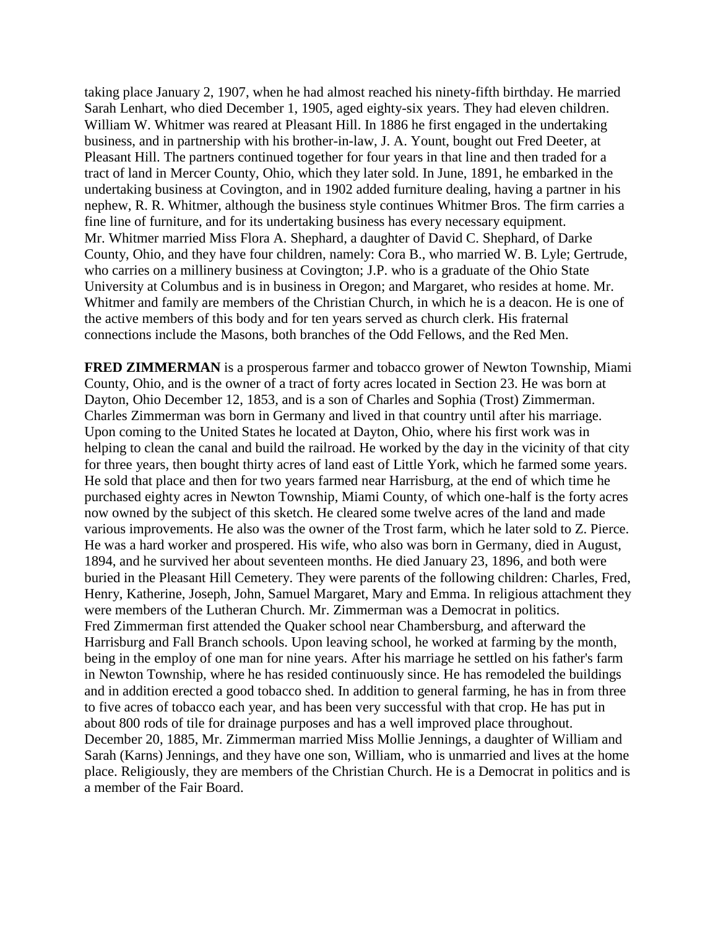taking place January 2, 1907, when he had almost reached his ninety-fifth birthday. He married Sarah Lenhart, who died December 1, 1905, aged eighty-six years. They had eleven children. William W. Whitmer was reared at Pleasant Hill. In 1886 he first engaged in the undertaking business, and in partnership with his brother-in-law, J. A. Yount, bought out Fred Deeter, at Pleasant Hill. The partners continued together for four years in that line and then traded for a tract of land in Mercer County, Ohio, which they later sold. In June, 1891, he embarked in the undertaking business at Covington, and in 1902 added furniture dealing, having a partner in his nephew, R. R. Whitmer, although the business style continues Whitmer Bros. The firm carries a fine line of furniture, and for its undertaking business has every necessary equipment. Mr. Whitmer married Miss Flora A. Shephard, a daughter of David C. Shephard, of Darke County, Ohio, and they have four children, namely: Cora B., who married W. B. Lyle; Gertrude, who carries on a millinery business at Covington; J.P. who is a graduate of the Ohio State University at Columbus and is in business in Oregon; and Margaret, who resides at home. Mr. Whitmer and family are members of the Christian Church, in which he is a deacon. He is one of the active members of this body and for ten years served as church clerk. His fraternal connections include the Masons, both branches of the Odd Fellows, and the Red Men.

**FRED ZIMMERMAN** is a prosperous farmer and tobacco grower of Newton Township, Miami County, Ohio, and is the owner of a tract of forty acres located in Section 23. He was born at Dayton, Ohio December 12, 1853, and is a son of Charles and Sophia (Trost) Zimmerman. Charles Zimmerman was born in Germany and lived in that country until after his marriage. Upon coming to the United States he located at Dayton, Ohio, where his first work was in helping to clean the canal and build the railroad. He worked by the day in the vicinity of that city for three years, then bought thirty acres of land east of Little York, which he farmed some years. He sold that place and then for two years farmed near Harrisburg, at the end of which time he purchased eighty acres in Newton Township, Miami County, of which one-half is the forty acres now owned by the subject of this sketch. He cleared some twelve acres of the land and made various improvements. He also was the owner of the Trost farm, which he later sold to Z. Pierce. He was a hard worker and prospered. His wife, who also was born in Germany, died in August, 1894, and he survived her about seventeen months. He died January 23, 1896, and both were buried in the Pleasant Hill Cemetery. They were parents of the following children: Charles, Fred, Henry, Katherine, Joseph, John, Samuel Margaret, Mary and Emma. In religious attachment they were members of the Lutheran Church. Mr. Zimmerman was a Democrat in politics. Fred Zimmerman first attended the Quaker school near Chambersburg, and afterward the Harrisburg and Fall Branch schools. Upon leaving school, he worked at farming by the month, being in the employ of one man for nine years. After his marriage he settled on his father's farm in Newton Township, where he has resided continuously since. He has remodeled the buildings and in addition erected a good tobacco shed. In addition to general farming, he has in from three to five acres of tobacco each year, and has been very successful with that crop. He has put in about 800 rods of tile for drainage purposes and has a well improved place throughout. December 20, 1885, Mr. Zimmerman married Miss Mollie Jennings, a daughter of William and Sarah (Karns) Jennings, and they have one son, William, who is unmarried and lives at the home place. Religiously, they are members of the Christian Church. He is a Democrat in politics and is a member of the Fair Board.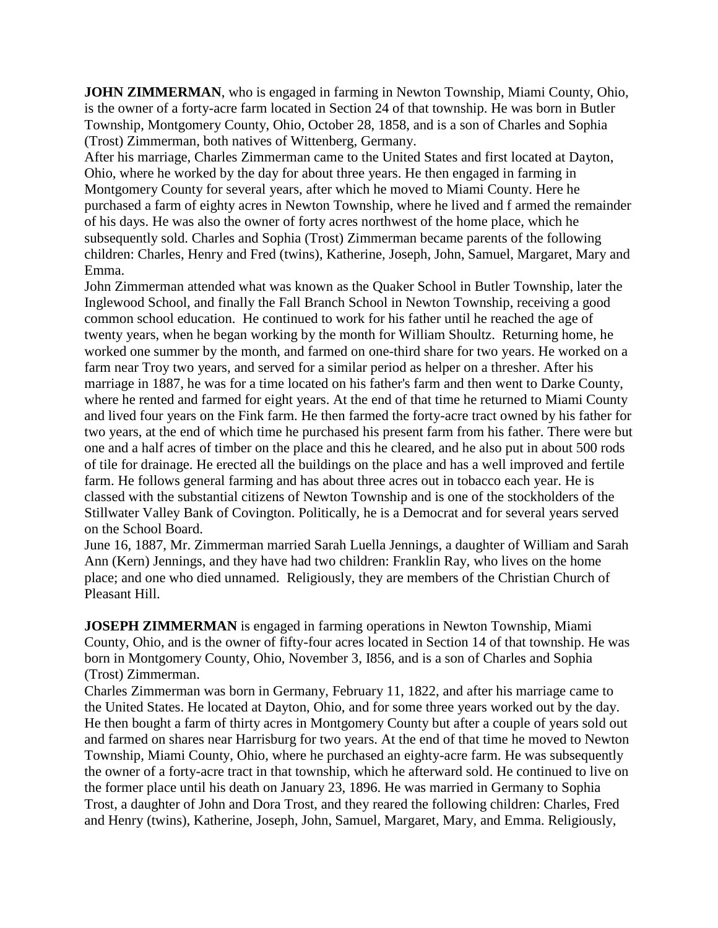**JOHN ZIMMERMAN**, who is engaged in farming in Newton Township, Miami County, Ohio, is the owner of a forty-acre farm located in Section 24 of that township. He was born in Butler Township, Montgomery County, Ohio, October 28, 1858, and is a son of Charles and Sophia (Trost) Zimmerman, both natives of Wittenberg, Germany.

After his marriage, Charles Zimmerman came to the United States and first located at Dayton, Ohio, where he worked by the day for about three years. He then engaged in farming in Montgomery County for several years, after which he moved to Miami County. Here he purchased a farm of eighty acres in Newton Township, where he lived and f armed the remainder of his days. He was also the owner of forty acres northwest of the home place, which he subsequently sold. Charles and Sophia (Trost) Zimmerman became parents of the following children: Charles, Henry and Fred (twins), Katherine, Joseph, John, Samuel, Margaret, Mary and Emma.

John Zimmerman attended what was known as the Quaker School in Butler Township, later the Inglewood School, and finally the Fall Branch School in Newton Township, receiving a good common school education. He continued to work for his father until he reached the age of twenty years, when he began working by the month for William Shoultz. Returning home, he worked one summer by the month, and farmed on one-third share for two years. He worked on a farm near Troy two years, and served for a similar period as helper on a thresher. After his marriage in 1887, he was for a time located on his father's farm and then went to Darke County, where he rented and farmed for eight years. At the end of that time he returned to Miami County and lived four years on the Fink farm. He then farmed the forty-acre tract owned by his father for two years, at the end of which time he purchased his present farm from his father. There were but one and a half acres of timber on the place and this he cleared, and he also put in about 500 rods of tile for drainage. He erected all the buildings on the place and has a well improved and fertile farm. He follows general farming and has about three acres out in tobacco each year. He is classed with the substantial citizens of Newton Township and is one of the stockholders of the Stillwater Valley Bank of Covington. Politically, he is a Democrat and for several years served on the School Board.

June 16, 1887, Mr. Zimmerman married Sarah Luella Jennings, a daughter of William and Sarah Ann (Kern) Jennings, and they have had two children: Franklin Ray, who lives on the home place; and one who died unnamed. Religiously, they are members of the Christian Church of Pleasant Hill.

**JOSEPH ZIMMERMAN** is engaged in farming operations in Newton Township, Miami County, Ohio, and is the owner of fifty-four acres located in Section 14 of that township. He was born in Montgomery County, Ohio, November 3, I856, and is a son of Charles and Sophia (Trost) Zimmerman.

Charles Zimmerman was born in Germany, February 11, 1822, and after his marriage came to the United States. He located at Dayton, Ohio, and for some three years worked out by the day. He then bought a farm of thirty acres in Montgomery County but after a couple of years sold out and farmed on shares near Harrisburg for two years. At the end of that time he moved to Newton Township, Miami County, Ohio, where he purchased an eighty-acre farm. He was subsequently the owner of a forty-acre tract in that township, which he afterward sold. He continued to live on the former place until his death on January 23, 1896. He was married in Germany to Sophia Trost, a daughter of John and Dora Trost, and they reared the following children: Charles, Fred and Henry (twins), Katherine, Joseph, John, Samuel, Margaret, Mary, and Emma. Religiously,